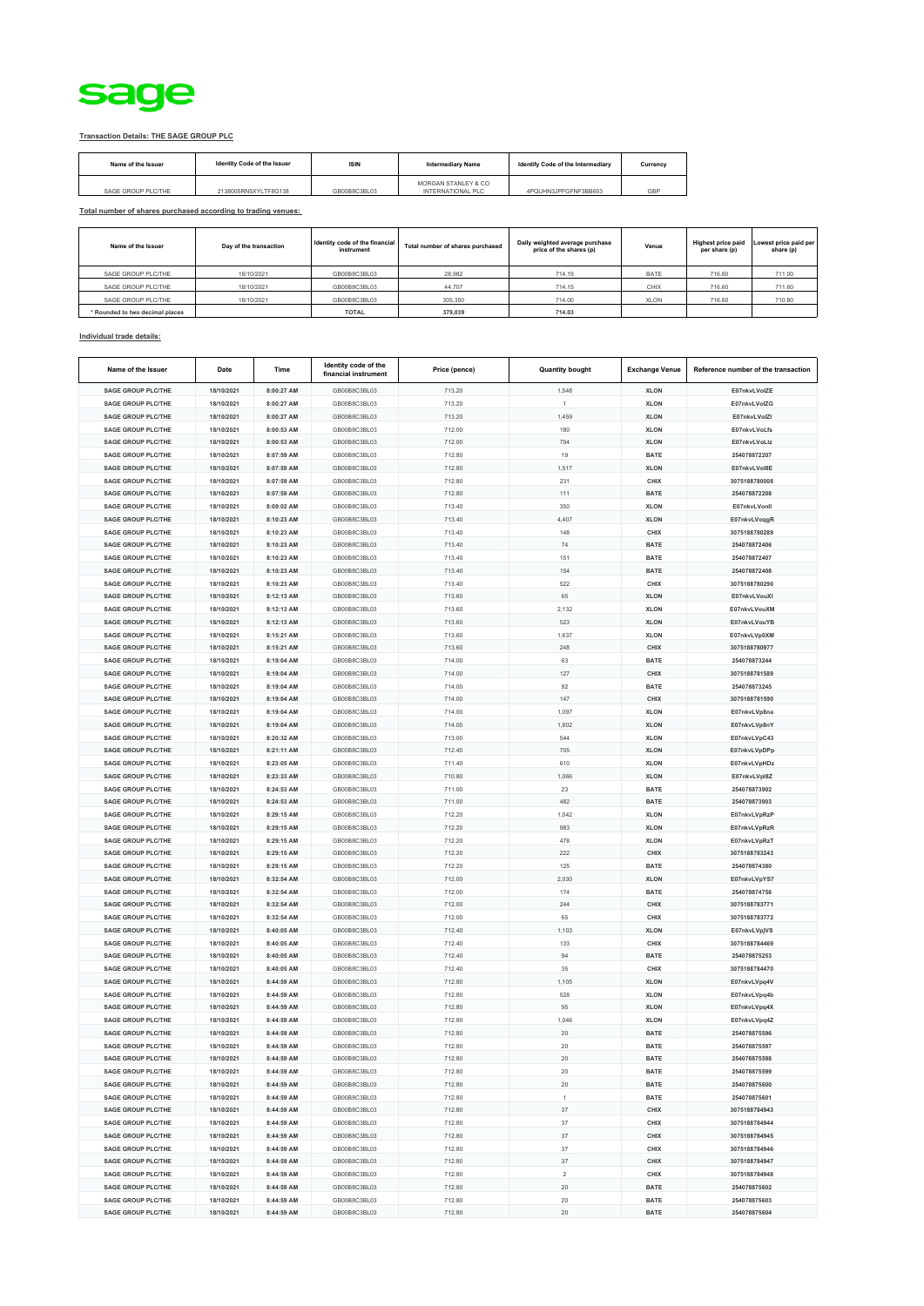

## **Transaction Details: THE SAGE GROUP PLC**

| Name of the Issuer | Identity Code of the Issuer | <b>ISIN</b>  | <b>Intermediary Name</b>                 | Identify Code of the Intermediary | Currency |
|--------------------|-----------------------------|--------------|------------------------------------------|-----------------------------------|----------|
| SAGE GROUP PLC/THE | 2138005RN5XYLTF8G138        | GB00B8C3BL03 | MORGAN STANLEY & CO<br>INTERNATIONAL PLC | 4PQUHN3JPFGFNF3BB653              | GBP      |

**Total number of shares purchased according to trading venues:**

| Name of the Issuer              | Day of the transaction | Identity code of the financial<br>instrument | Total number of shares purchased | Daily weighted average purchase<br>price of the shares (p) | Venue       | <b>Highest price paid</b><br>per share (p) | Lowest price paid per<br>share (p) |
|---------------------------------|------------------------|----------------------------------------------|----------------------------------|------------------------------------------------------------|-------------|--------------------------------------------|------------------------------------|
| SAGE GROUP PLC/THE              | 18/10/2021             | GB00B8C3BL03                                 | 28,982                           | 714.19                                                     | <b>BATE</b> | 716.60                                     | 711.00                             |
| SAGE GROUP PLC/THE              | 18/10/2021             | GB00B8C3BL03                                 | 44.707                           | 714.15                                                     | CHIX        | 716.60                                     | 711.60                             |
| SAGE GROUP PLC/THE              | 18/10/2021             | GB00B8C3BL03                                 | 305,350                          | 714.00                                                     | <b>XLON</b> | 716.60                                     | 710.80                             |
| * Rounded to two decimal places |                        | <b>TOTAL</b>                                 | 379,039                          | 714.03                                                     |             |                                            |                                    |

## **Individual trade details:**

| Name of the Issuer                                     | Date                     | Time                     | Identity code of the<br>financial instrument | Price (pence)    | <b>Quantity bought</b> | <b>Exchange Venue</b> | Reference number of the transaction |
|--------------------------------------------------------|--------------------------|--------------------------|----------------------------------------------|------------------|------------------------|-----------------------|-------------------------------------|
| <b>SAGE GROUP PLC/THE</b>                              | 18/10/2021               | 8:00:27 AM               | GB00B8C3BL03                                 | 713.20           | 1,548                  | <b>XLON</b>           | E07nkvLVolZE                        |
| <b>SAGE GROUP PLC/THE</b>                              | 18/10/2021               | 8:00:27 AM               | GB00B8C3BL03                                 | 713.20           |                        | <b>XLON</b>           | E07nkvLVolZG                        |
| <b>SAGE GROUP PLC/THE</b>                              | 18/10/2021               | 8:00:27 AM               | GB00B8C3BL03                                 | 713.20           | 1.459                  | <b>XLON</b>           | E07nkvLVolZI                        |
| <b>SAGE GROUP PLC/THE</b>                              | 18/10/2021               | 8:00:53 AM               | GB00B8C3BL03                                 | 712.00           | 180                    | <b>XLON</b>           | E07nkvLVoLfs                        |
| <b>SAGE GROUP PLC/THE</b>                              | 18/10/2021               | 8:00:53 AM               | GB00B8C3BL03                                 | 712.00           | 754                    | <b>XLON</b>           | E07nkvLVoLlz                        |
| <b>SAGE GROUP PLC/THE</b>                              | 18/10/2021               | 8:07:59 AM               | GB00B8C3BL03                                 | 712.80           | 19                     | <b>BATE</b>           | 254078872207                        |
| <b>SAGE GROUP PLC/THE</b>                              | 18/10/2021               | 8:07:59 AM               | GB00B8C3BL03                                 | 712.80           | 1,517                  | <b>XLON</b>           | E07nkvLVoI8E                        |
| <b>SAGE GROUP PLC/THE</b>                              | 18/10/2021               | 8:07:59 AM               | GB00B8C3BL03                                 | 712.80           | 231                    | CHIX                  | 3075188780008                       |
| <b>SAGE GROUP PLC/THE</b>                              | 18/10/2021               | 8:07:59 AM               | GB00B8C3BL03                                 | 712.80           | 111                    | <b>BATE</b>           | 254078872208                        |
| <b>SAGE GROUP PLC/THE</b>                              | 18/10/2021               | 8:09:02 AM               | GB00B8C3BL03                                 | 713.40           | 350                    | <b>XLON</b>           | E07nkvLVonll                        |
| <b>SAGE GROUP PLC/THE</b>                              | 18/10/2021               | 8:10:23 AM               | GB00B8C3BL03                                 | 713.40           | 4,407                  | <b>XLON</b>           | E07nkvLVoqgR                        |
| <b>SAGE GROUP PLC/THE</b>                              | 18/10/2021               | 8:10:23 AM               | GB00B8C3BL03                                 | 713.40           | 148                    | CHIX                  | 3075188780289                       |
| <b>SAGE GROUP PLC/THE</b>                              | 18/10/2021               | 8:10:23 AM               | GB00B8C3BL03                                 | 713.40           | 74                     | <b>BATE</b>           | 254078872406                        |
| <b>SAGE GROUP PLC/THE</b>                              | 18/10/2021               | 8:10:23 AM               | GB00B8C3BL03                                 | 713.40           | 151                    | <b>BATE</b>           | 254078872407                        |
| <b>SAGE GROUP PLC/THE</b>                              | 18/10/2021               | 8:10:23 AM               | GB00B8C3BL03                                 | 713.40           | 154                    | <b>BATE</b>           | 254078872408                        |
| <b>SAGE GROUP PLC/THE</b>                              | 18/10/2021               | 8:10:23 AM               | GB00B8C3BL03                                 | 713.40           | 522                    | CHIX                  | 3075188780290                       |
| <b>SAGE GROUP PLC/THE</b>                              | 18/10/2021               | 8:12:13 AM               | GB00B8C3BL03                                 | 713.60           | 65                     | <b>XLON</b>           | E07nkvLVouXI                        |
| <b>SAGE GROUP PLC/THE</b>                              | 18/10/2021               | 8:12:13 AM               | GB00B8C3BL03                                 | 713.60           | 2,132                  | <b>XLON</b>           | E07nkvLVouXM                        |
| <b>SAGE GROUP PLC/THE</b>                              | 18/10/2021               | 8:12:13 AM               | GB00B8C3BL03                                 | 713.60           | 523                    | <b>XLON</b>           | E07nkvLVouYB                        |
| <b>SAGE GROUP PLC/THE</b>                              | 18/10/2021               | 8:15:21 AM               | GB00B8C3BL03                                 | 713.60           | 1,637                  | <b>XLON</b>           | E07nkvLVp0XM                        |
| <b>SAGE GROUP PLC/THE</b>                              | 18/10/2021               | 8:15:21 AM               | GB00B8C3BL03                                 | 713.60           | 248                    | CHIX                  | 3075188780977                       |
| SAGE GROUP PLC/THE                                     | 18/10/2021               | 8:19:04 AM               | GB00B8C3BL03                                 | 714.00           | 63                     | <b>BATE</b>           | 254078873244                        |
| <b>SAGE GROUP PLC/THE</b>                              | 18/10/2021               | 8:19:04 AM               | GB00B8C3BL03                                 | 714.00           | 127                    | CHIX                  | 3075188781589                       |
| <b>SAGE GROUP PLC/THE</b>                              | 18/10/2021               | 8:19:04 AM               | GB00B8C3BL03                                 | 714.00           | 92                     | <b>BATE</b>           | 254078873245                        |
| <b>SAGE GROUP PLC/THE</b>                              | 18/10/2021               | 8:19:04 AM               | GB00B8C3BL03                                 | 714.00           | 147                    | CHIX                  | 3075188781590                       |
| <b>SAGE GROUP PLC/THE</b>                              | 18/10/2021               | 8:19:04 AM               | GB00B8C3BL03                                 | 714.00           | 1,097                  | <b>XLON</b>           | E07nkvLVp8na                        |
| <b>SAGE GROUP PLC/THE</b>                              | 18/10/2021               | 8:19:04 AM               | GB00B8C3BL03                                 | 714.00           | 1,802                  | <b>XLON</b>           | E07nkvLVp8nY                        |
| SAGE GROUP PLC/THE                                     | 18/10/2021               | 8:20:32 AM               | GB00B8C3BL03                                 | 713.00           | 544                    | <b>XLON</b>           | E07nkvLVpC43                        |
| <b>SAGE GROUP PLC/THE</b>                              | 18/10/2021               | 8:21:11 AM               | GB00B8C3BL03                                 | 712.40           | 705                    | <b>XLON</b>           | E07nkvLVpDPp                        |
| <b>SAGE GROUP PLC/THE</b>                              | 18/10/2021               | 8:23:05 AM               | GB00B8C3BL03                                 | 711.40           | 610                    | <b>XLON</b>           | E07nkvLVpHDz                        |
| <b>SAGE GROUP PLC/THE</b>                              | 18/10/2021               | 8:23:33 AM               | GB00B8C3BL03                                 | 710.80           | 1,066                  | <b>XLON</b>           | E07nkvLVpl8Z                        |
| SAGE GROUP PLC/THE                                     | 18/10/2021               | 8:24:53 AM               | GB00B8C3BL03                                 | 711.00           | 23                     | <b>BATE</b>           | 254078873902                        |
| <b>SAGE GROUP PLC/THE</b>                              | 18/10/2021               | 8:24:53 AM               | GB00B8C3BL03                                 | 711.00           | 482                    | <b>BATE</b>           | 254078873903                        |
| <b>SAGE GROUP PLC/THE</b>                              | 18/10/2021               | 8:29:15 AM               | GB00B8C3BL03                                 | 712.20           | 1,042                  | <b>XLON</b>           | E07nkvLVpRzP                        |
| <b>SAGE GROUP PLC/THE</b>                              | 18/10/2021               | 8:29:15 AM               | GB00B8C3BL03                                 | 712.20           | 983                    | <b>XLON</b>           | E07nkvLVpRzR                        |
| <b>SAGE GROUP PLC/THE</b>                              | 18/10/2021               | 8:29:15 AM               | GB00B8C3BL03                                 | 712.20           | 478<br>222             | <b>XLON</b>           | E07nkvLVpRzT                        |
| <b>SAGE GROUP PLC/THE</b><br><b>SAGE GROUP PLC/THE</b> | 18/10/2021<br>18/10/2021 | 8:29:15 AM<br>8:29:15 AM | GB00B8C3BL03<br>GB00B8C3BL03                 | 712.20<br>712.20 | 125                    | CHIX<br><b>BATE</b>   | 3075188783243<br>254078874380       |
| <b>SAGE GROUP PLC/THE</b>                              | 18/10/2021               | 8:32:54 AM               | GB00B8C3BL03                                 | 712.00           | 2,030                  | <b>XLON</b>           | E07nkvLVpYS7                        |
| <b>SAGE GROUP PLC/THE</b>                              | 18/10/2021               | 8:32:54 AM               | GB00B8C3BL03                                 | 712.00           | 174                    | <b>BATE</b>           | 254078874756                        |
| <b>SAGE GROUP PLC/THE</b>                              | 18/10/2021               | 8:32:54 AM               | GB00B8C3BL03                                 | 712.00           | 244                    | CHIX                  | 3075188783771                       |
| <b>SAGE GROUP PLC/THE</b>                              | 18/10/2021               | 8:32:54 AM               | GB00B8C3BL03                                 | 712.00           | 65                     | CHIX                  | 3075188783772                       |
| <b>SAGE GROUP PLC/THE</b>                              | 18/10/2021               | 8:40:05 AM               | GB00B8C3BL03                                 | 712.40           | 1,103                  | <b>XLON</b>           | E07nkvLVpjVS                        |
| <b>SAGE GROUP PLC/THE</b>                              | 18/10/2021               | 8:40:05 AM               | GB00B8C3BL03                                 | 712.40           | 133                    | CHIX                  | 3075188784469                       |
| <b>SAGE GROUP PLC/THE</b>                              | 18/10/2021               | 8:40:05 AM               | GB00B8C3BL03                                 | 712.40           | 94                     | <b>BATE</b>           | 254078875253                        |
| <b>SAGE GROUP PLC/THE</b>                              | 18/10/2021               | 8:40:05 AM               | GB00B8C3BL03                                 | 712.40           | 35                     | CHIX                  | 3075188784470                       |
| <b>SAGE GROUP PLC/THE</b>                              | 18/10/2021               | 8:44:59 AM               | GB00B8C3BL03                                 | 712.80           | 1,105                  | <b>XLON</b>           | E07nkvLVpq4V                        |
| <b>SAGE GROUP PLC/THE</b>                              | 18/10/2021               | 8:44:59 AM               | GB00B8C3BL03                                 | 712.80           | 528                    | <b>XLON</b>           | E07nkvLVpq4b                        |
| <b>SAGE GROUP PLC/THE</b>                              | 18/10/2021               | 8:44:59 AM               | GB00B8C3BL03                                 | 712.80           | 95                     | <b>XLON</b>           | E07nkvLVpq4X                        |
| <b>SAGE GROUP PLC/THE</b>                              | 18/10/2021               | 8:44:59 AM               | GB00B8C3BL03                                 | 712.80           | 1,046                  | <b>XLON</b>           | E07nkvLVpq4Z                        |
| <b>SAGE GROUP PLC/THE</b>                              | 18/10/2021               | 8:44:59 AM               | GB00B8C3BL03                                 | 712.80           | 20                     | <b>BATE</b>           | 254078875596                        |
| <b>SAGE GROUP PLC/THE</b>                              | 18/10/2021               | 8:44:59 AM               | GB00B8C3BL03                                 | 712.80           | 20                     | <b>BATE</b>           | 254078875597                        |
| <b>SAGE GROUP PLC/THE</b>                              | 18/10/2021               | 8:44:59 AM               | GB00B8C3BL03                                 | 712.80           | $20\,$                 | <b>BATE</b>           | 254078875598                        |
| <b>SAGE GROUP PLC/THE</b>                              | 18/10/2021               | 8:44:59 AM               | GB00B8C3BL03                                 | 712.80           | 20                     | <b>BATE</b>           | 254078875599                        |
| <b>SAGE GROUP PLC/THE</b>                              | 18/10/2021               | 8:44:59 AM               | GB00B8C3BL03                                 | 712.80           | 20                     | <b>BATE</b>           | 254078875600                        |
| <b>SAGE GROUP PLC/THE</b>                              | 18/10/2021               | 8:44:59 AM               | GB00B8C3BL03                                 | 712.80           | 1                      | <b>BATE</b>           | 254078875601                        |
| <b>SAGE GROUP PLC/THE</b>                              | 18/10/2021               | 8:44:59 AM               | GB00B8C3BL03                                 | 712.80           | 37                     | CHIX                  | 3075188784943                       |
| <b>SAGE GROUP PLC/THE</b>                              | 18/10/2021               | 8:44:59 AM               | GB00B8C3BL03                                 | 712.80           | 37                     | CHIX                  | 3075188784944                       |
| <b>SAGE GROUP PLC/THE</b>                              | 18/10/2021               | 8:44:59 AM               | GB00B8C3BL03                                 | 712.80           | 37                     | <b>CHIX</b>           | 3075188784945                       |
| <b>SAGE GROUP PLC/THE</b>                              | 18/10/2021               | 8:44:59 AM               | GB00B8C3BL03                                 | 712.80           | 37                     | CHIX                  | 3075188784946                       |
| <b>SAGE GROUP PLC/THE</b>                              | 18/10/2021               | 8:44:59 AM               | GB00B8C3BL03                                 | 712.80           | 37                     | CHIX                  | 3075188784947                       |
| <b>SAGE GROUP PLC/THE</b>                              | 18/10/2021               | 8:44:59 AM               | GB00B8C3BL03                                 | 712.80           | $\bar{2}$              | CHIX                  | 3075188784948                       |
| <b>SAGE GROUP PLC/THE</b>                              | 18/10/2021               | 8:44:59 AM               | GB00B8C3BL03                                 | 712.80           | 20                     | <b>BATE</b>           | 254078875602                        |
| <b>SAGE GROUP PLC/THE</b>                              | 18/10/2021               | 8:44:59 AM               | GB00B8C3BL03                                 | 712.80           | 20                     | <b>BATE</b>           | 254078875603                        |
| <b>SAGE GROUP PLC/THE</b>                              | 18/10/2021               | 8:44:59 AM               | GB00B8C3BL03                                 | 712.80           | 20                     | <b>BATE</b>           | 254078875604                        |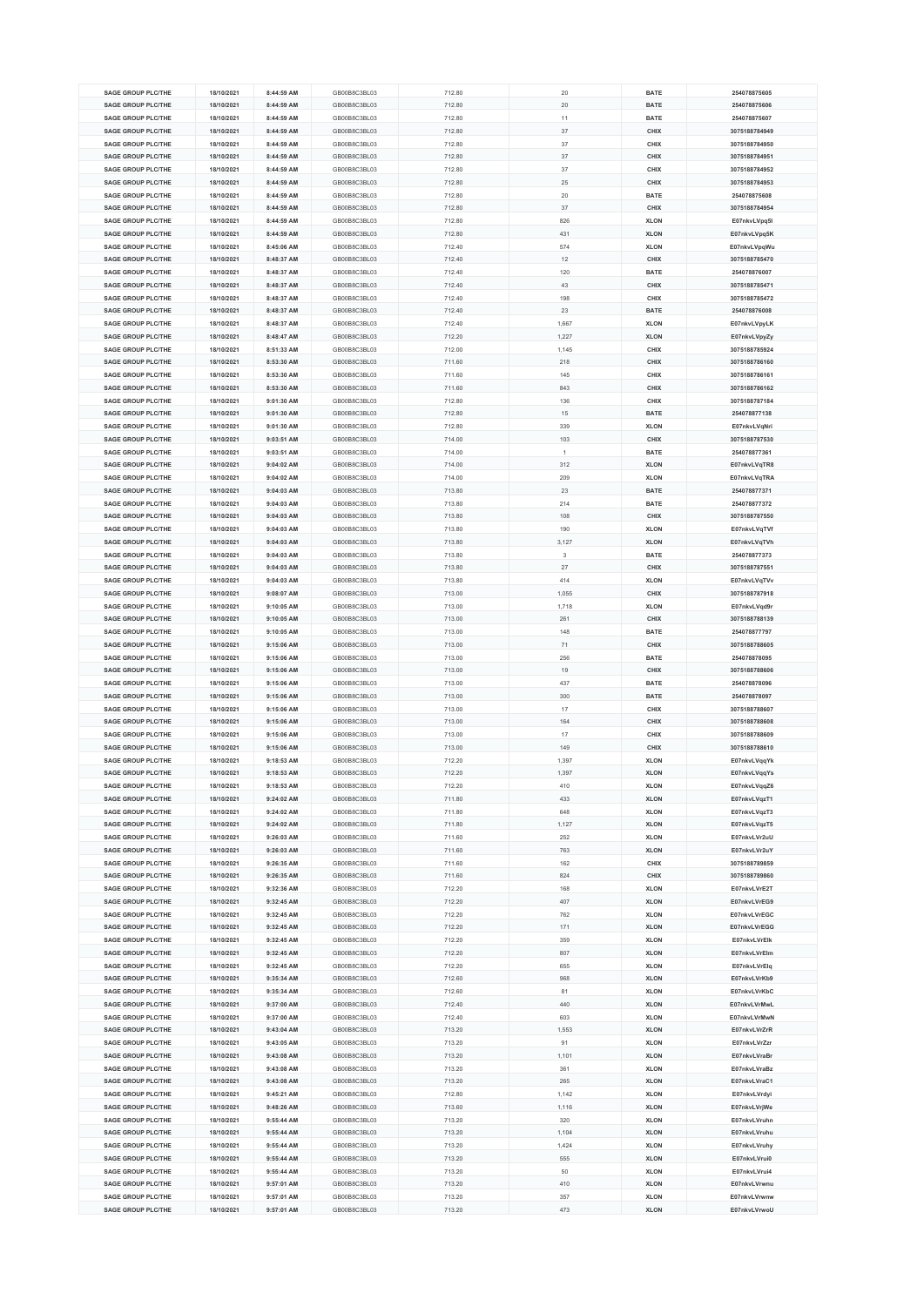| <b>SAGE GROUP PLC/THE</b> | 18/10/2021 | 8:44:59 AM | GB00B8C3BL03 | 712.80 | 20     | <b>BATE</b> | 254078875605  |
|---------------------------|------------|------------|--------------|--------|--------|-------------|---------------|
|                           |            |            |              |        |        |             |               |
| <b>SAGE GROUP PLC/THE</b> | 18/10/2021 | 8:44:59 AM | GB00B8C3BL03 | 712.80 | 20     | <b>BATE</b> | 254078875606  |
| <b>SAGE GROUP PLC/THE</b> | 18/10/2021 | 8:44:59 AM | GB00B8C3BL03 | 712.80 | 11     | <b>BATE</b> | 254078875607  |
| <b>SAGE GROUP PLC/THE</b> | 18/10/2021 | 8:44:59 AM | GB00B8C3BL03 | 712.80 | 37     | CHIX        | 3075188784949 |
| <b>SAGE GROUP PLC/THE</b> | 18/10/2021 | 8:44:59 AM | GB00B8C3BL03 | 712.80 | 37     | CHIX        | 3075188784950 |
| <b>SAGE GROUP PLC/THE</b> |            | 8:44:59 AM | GB00B8C3BL03 |        | 37     | CHIX        | 3075188784951 |
|                           | 18/10/2021 |            |              | 712.80 |        |             |               |
| <b>SAGE GROUP PLC/THE</b> | 18/10/2021 | 8:44:59 AM | GB00B8C3BL03 | 712.80 | 37     | CHIX        | 3075188784952 |
| <b>SAGE GROUP PLC/THE</b> | 18/10/2021 | 8:44:59 AM | GB00B8C3BL03 | 712.80 | 25     | CHIX        | 3075188784953 |
| <b>SAGE GROUP PLC/THE</b> | 18/10/2021 | 8:44:59 AM | GB00B8C3BL03 | 712.80 | 20     | <b>BATE</b> | 254078875608  |
| <b>SAGE GROUP PLC/THE</b> | 18/10/2021 | 8:44:59 AM | GB00B8C3BL03 | 712.80 | 37     | <b>CHIX</b> | 3075188784954 |
|                           |            |            | GB00B8C3BL03 |        |        |             |               |
| <b>SAGE GROUP PLC/THE</b> | 18/10/2021 | 8:44:59 AM |              | 712.80 | 826    | <b>XLON</b> | E07nkvLVpq5l  |
| <b>SAGE GROUP PLC/THE</b> | 18/10/2021 | 8:44:59 AM | GB00B8C3BL03 | 712.80 | 431    | <b>XLON</b> | E07nkvLVpq5K  |
| <b>SAGE GROUP PLC/THE</b> | 18/10/2021 | 8:45:06 AM | GB00B8C3BL03 | 712.40 | 574    | <b>XLON</b> | E07nkvLVpqWu  |
| <b>SAGE GROUP PLC/THE</b> | 18/10/2021 | 8:48:37 AM | GB00B8C3BL03 | 712.40 | 12     | <b>CHIX</b> | 3075188785470 |
| <b>SAGE GROUP PLC/THE</b> | 18/10/2021 | 8:48:37 AM | GB00B8C3BL03 | 712.40 | 120    | <b>BATE</b> | 254078876007  |
|                           |            |            |              |        |        |             |               |
| <b>SAGE GROUP PLC/THE</b> | 18/10/2021 | 8:48:37 AM | GB00B8C3BL03 | 712.40 | 43     | CHIX        | 3075188785471 |
| <b>SAGE GROUP PLC/THE</b> | 18/10/2021 | 8:48:37 AM | GB00B8C3BL03 | 712.40 | 198    | CHIX        | 3075188785472 |
| <b>SAGE GROUP PLC/THE</b> | 18/10/2021 | 8:48:37 AM | GB00B8C3BL03 | 712.40 | 23     | <b>BATE</b> | 254078876008  |
| <b>SAGE GROUP PLC/THE</b> | 18/10/2021 | 8:48:37 AM | GB00B8C3BL03 | 712.40 | 1,667  | <b>XLON</b> | E07nkvLVpyLK  |
|                           |            |            |              |        |        |             |               |
| <b>SAGE GROUP PLC/THE</b> | 18/10/2021 | 8:48:47 AM | GB00B8C3BL03 | 712.20 | 1,227  | <b>XLON</b> | E07nkvLVpyZy  |
| <b>SAGE GROUP PLC/THE</b> | 18/10/2021 | 8:51:33 AM | GB00B8C3BL03 | 712.00 | 1.145  | CHIX        | 3075188785924 |
| <b>SAGE GROUP PLC/THE</b> | 18/10/2021 | 8:53:30 AM | GB00B8C3BL03 | 711.60 | 218    | CHIX        | 3075188786160 |
| <b>SAGE GROUP PLC/THE</b> | 18/10/2021 | 8:53:30 AM | GB00B8C3BL03 | 711.60 | 145    | CHIX        | 3075188786161 |
| <b>SAGE GROUP PLC/THE</b> | 18/10/2021 | 8:53:30 AM | GB00B8C3BL03 | 711.60 | 843    | CHIX        | 3075188786162 |
| <b>SAGE GROUP PLC/THE</b> |            |            | GB00B8C3BL03 |        | 136    |             | 3075188787184 |
|                           | 18/10/2021 | 9:01:30 AM |              | 712.80 |        | CHIX        |               |
| <b>SAGE GROUP PLC/THE</b> | 18/10/2021 | 9:01:30 AM | GB00B8C3BL03 | 712.80 | 15     | <b>BATE</b> | 254078877138  |
| <b>SAGE GROUP PLC/THE</b> | 18/10/2021 | 9:01:30 AM | GB00B8C3BL03 | 712.80 | 339    | <b>XLON</b> | E07nkvLVqNri  |
| <b>SAGE GROUP PLC/THE</b> | 18/10/2021 | 9:03:51 AM | GB00B8C3BL03 | 714.00 | 103    | CHIX        | 3075188787530 |
| <b>SAGE GROUP PLC/THE</b> | 18/10/2021 | 9:03:51 AM | GB00B8C3BL03 | 714.00 | -1     | <b>BATE</b> | 254078877361  |
|                           |            |            |              |        |        |             |               |
| <b>SAGE GROUP PLC/THE</b> | 18/10/2021 | 9:04:02 AM | GB00B8C3BL03 | 714.00 | 312    | <b>XLON</b> | E07nkvLVqTR8  |
| <b>SAGE GROUP PLC/THE</b> | 18/10/2021 | 9:04:02 AM | GB00B8C3BL03 | 714.00 | 209    | <b>XLON</b> | E07nkvLVqTRA  |
| <b>SAGE GROUP PLC/THE</b> | 18/10/2021 | 9:04:03 AM | GB00B8C3BL03 | 713.80 | 23     | <b>BATE</b> | 254078877371  |
| <b>SAGE GROUP PLC/THE</b> | 18/10/2021 | 9:04:03 AM | GB00B8C3BL03 | 713.80 | 214    | <b>BATE</b> | 254078877372  |
| <b>SAGE GROUP PLC/THE</b> | 18/10/2021 | 9:04:03 AM | GB00B8C3BL03 | 713.80 | 108    | CHIX        | 3075188787550 |
| SAGE GROUP PLC/THE        |            |            |              |        |        |             |               |
|                           | 18/10/2021 | 9:04:03 AM | GB00B8C3BL03 | 713.80 | 190    | <b>XLON</b> | E07nkvLVqTVf  |
| <b>SAGE GROUP PLC/THE</b> | 18/10/2021 | 9:04:03 AM | GB00B8C3BL03 | 713.80 | 3,127  | <b>XLON</b> | E07nkvLVqTVh  |
| <b>SAGE GROUP PLC/THE</b> | 18/10/2021 | 9:04:03 AM | GB00B8C3BL03 | 713.80 | 3      | <b>BATE</b> | 254078877373  |
| <b>SAGE GROUP PLC/THE</b> | 18/10/2021 | 9:04:03 AM | GB00B8C3BL03 | 713.80 | $27\,$ | CHIX        | 3075188787551 |
|                           |            |            |              |        |        |             |               |
| <b>SAGE GROUP PLC/THE</b> | 18/10/2021 | 9:04:03 AM | GB00B8C3BL03 | 713.80 | 414    | <b>XLON</b> | E07nkvLVqTVv  |
| <b>SAGE GROUP PLC/THE</b> | 18/10/2021 | 9:08:07 AM | GB00B8C3BL03 | 713.00 | 1,055  | CHIX        | 3075188787918 |
| <b>SAGE GROUP PLC/THE</b> | 18/10/2021 | 9:10:05 AM | GB00B8C3BL03 | 713.00 | 1,718  | <b>XLON</b> | E07nkvLVqd9r  |
| <b>SAGE GROUP PLC/THE</b> | 18/10/2021 | 9:10:05 AM | GB00B8C3BL03 | 713.00 | 261    | CHIX        | 3075188788139 |
| <b>SAGE GROUP PLC/THE</b> | 18/10/2021 | 9:10:05 AM | GB00B8C3BL03 | 713.00 | 148    | <b>BATE</b> | 254078877797  |
|                           |            |            |              |        |        |             |               |
| <b>SAGE GROUP PLC/THE</b> | 18/10/2021 | 9:15:06 AM | GB00B8C3BL03 | 713.00 | 71     | CHIX        | 3075188788605 |
| <b>SAGE GROUP PLC/THE</b> | 18/10/2021 | 9:15:06 AM | GB00B8C3BL03 | 713.00 | 256    | <b>BATE</b> | 254078878095  |
| <b>SAGE GROUP PLC/THE</b> | 18/10/2021 | 9:15:06 AM | GB00B8C3BL03 | 713.00 | 19     | CHIX        | 3075188788606 |
| <b>SAGE GROUP PLC/THE</b> | 18/10/2021 | 9:15:06 AM | GB00B8C3BL03 | 713.00 | 437    | <b>BATE</b> | 254078878096  |
| <b>SAGE GROUP PLC/THE</b> | 18/10/2021 | 9:15:06 AM | GB00B8C3BL03 | 713.00 | 300    | <b>BATE</b> | 254078878097  |
|                           |            |            |              |        |        |             |               |
| <b>SAGE GROUP PLC/THE</b> | 18/10/2021 | 9:15:06 AM | GB00B8C3BL03 | 713.00 | 17     | CHIX        | 3075188788607 |
| SAGE GROUP PLC/THE        | 18/10/2021 | 9:15:06 AM | GB00B8C3BL03 | 713.00 | 164    | CHIX        | 3075188788608 |
| <b>SAGE GROUP PLC/THE</b> | 18/10/2021 | 9:15:06 AM | GB00B8C3BL03 | 713.00 | 17     | CHIX        | 3075188788609 |
| SAGE GROUP PLC/THE        | 18/10/2021 | 9:15:06 AM | GB00B8C3BL03 | 713.00 | 149    | CHIX        | 3075188788610 |
| <b>SAGE GROUP PLC/THE</b> | 18/10/2021 | 9:18:53 AM | GB00B8C3BL03 | 712.20 | 1,397  | <b>XLON</b> | E07nkvLVqqYk  |
|                           |            |            |              |        |        |             |               |
| <b>SAGE GROUP PLC/THE</b> | 18/10/2021 | 9:18:53 AM | GB00B8C3BL03 | 712.20 | 1,397  | <b>XLON</b> | E07nkvLVqqYs  |
| <b>SAGE GROUP PLC/THE</b> | 18/10/2021 | 9:18:53 AM | GB00B8C3BL03 | 712.20 | 410    | <b>XLON</b> | E07nkvLVqqZ6  |
| <b>SAGE GROUP PLC/THE</b> | 18/10/2021 | 9:24:02 AM | GB00B8C3BL03 | 711.80 | 433    | <b>XLON</b> | E07nkvLVqzT1  |
| <b>SAGE GROUP PLC/THE</b> | 18/10/2021 | 9:24:02 AM | GB00B8C3BL03 | 711.80 | 648    | <b>XLON</b> | E07nkvLVqzT3  |
| <b>SAGE GROUP PLC/THE</b> | 18/10/2021 | 9:24:02 AM | GB00B8C3BL03 | 711.80 | 1,127  | <b>XLON</b> | E07nkvLVqzT5  |
|                           |            |            |              |        |        |             |               |
| <b>SAGE GROUP PLC/THE</b> | 18/10/2021 | 9:26:03 AM | GB00B8C3BL03 | 711.60 | 252    | <b>XLON</b> | E07nkvLVr2uU  |
| <b>SAGE GROUP PLC/THE</b> | 18/10/2021 | 9:26:03 AM | GB00B8C3BL03 | 711.60 | 763    | <b>XLON</b> | E07nkvLVr2uY  |
| <b>SAGE GROUP PLC/THE</b> | 18/10/2021 | 9:26:35 AM | GB00B8C3BL03 | 711.60 | 162    | CHIX        | 3075188789859 |
| <b>SAGE GROUP PLC/THE</b> | 18/10/2021 | 9:26:35 AM | GB00B8C3BL03 | 711.60 | 824    | CHIX        | 3075188789860 |
| <b>SAGE GROUP PLC/THE</b> | 18/10/2021 | 9:32:36 AM | GB00B8C3BL03 | 712.20 | 168    | <b>XLON</b> | E07nkvLVrE2T  |
|                           |            |            |              |        |        |             | E07nkvLVrEG9  |
| <b>SAGE GROUP PLC/THE</b> | 18/10/2021 | 9:32:45 AM | GB00B8C3BL03 | 712.20 | 407    | <b>XLON</b> |               |
| <b>SAGE GROUP PLC/THE</b> | 18/10/2021 | 9:32:45 AM | GB00B8C3BL03 | 712.20 | 762    | <b>XLON</b> | E07nkvLVrEGC  |
| <b>SAGE GROUP PLC/THE</b> | 18/10/2021 | 9:32:45 AM | GB00B8C3BL03 | 712.20 | 171    | <b>XLON</b> | E07nkvLVrEGG  |
| <b>SAGE GROUP PLC/THE</b> | 18/10/2021 | 9:32:45 AM | GB00B8C3BL03 | 712.20 | 359    | <b>XLON</b> | E07nkvLVrElk  |
| <b>SAGE GROUP PLC/THE</b> | 18/10/2021 | 9:32:45 AM | GB00B8C3BL03 | 712.20 | 807    | <b>XLON</b> | E07nkvLVrElm  |
| <b>SAGE GROUP PLC/THE</b> | 18/10/2021 | 9:32:45 AM | GB00B8C3BL03 | 712.20 | 655    | <b>XLON</b> | E07nkvLVrElq  |
|                           |            |            |              |        |        |             |               |
| <b>SAGE GROUP PLC/THE</b> | 18/10/2021 | 9:35:34 AM | GB00B8C3BL03 | 712.60 | 968    | <b>XLON</b> | E07nkvLVrKb9  |
| <b>SAGE GROUP PLC/THE</b> | 18/10/2021 | 9:35:34 AM | GB00B8C3BL03 | 712.60 | 81     | <b>XLON</b> | E07nkvLVrKbC  |
| <b>SAGE GROUP PLC/THE</b> | 18/10/2021 | 9:37:00 AM | GB00B8C3BL03 | 712.40 | 440    | <b>XLON</b> | E07nkvLVrMwL  |
| <b>SAGE GROUP PLC/THE</b> | 18/10/2021 | 9:37:00 AM | GB00B8C3BL03 | 712.40 | 603    | <b>XLON</b> | E07nkvLVrMwN  |
| <b>SAGE GROUP PLC/THE</b> | 18/10/2021 | 9:43:04 AM | GB00B8C3BL03 | 713.20 | 1,553  | <b>XLON</b> | E07nkvLVrZrR  |
|                           |            |            |              |        |        |             |               |
| <b>SAGE GROUP PLC/THE</b> | 18/10/2021 | 9:43:05 AM | GB00B8C3BL03 | 713.20 | 91     | <b>XLON</b> | E07nkvLVrZzr  |
| <b>SAGE GROUP PLC/THE</b> | 18/10/2021 | 9:43:08 AM | GB00B8C3BL03 | 713.20 | 1,101  | <b>XLON</b> | E07nkvLVraBr  |
| <b>SAGE GROUP PLC/THE</b> | 18/10/2021 | 9:43:08 AM | GB00B8C3BL03 | 713.20 | 361    | <b>XLON</b> | E07nkvLVraBz  |
| <b>SAGE GROUP PLC/THE</b> | 18/10/2021 | 9:43:08 AM | GB00B8C3BL03 | 713.20 | 265    | <b>XLON</b> | E07nkvLVraC1  |
|                           |            |            |              |        |        |             |               |
| <b>SAGE GROUP PLC/THE</b> | 18/10/2021 | 9:45:21 AM | GB00B8C3BL03 | 712.80 | 1,142  | <b>XLON</b> | E07nkvLVrdyi  |
| <b>SAGE GROUP PLC/THE</b> | 18/10/2021 | 9:48:26 AM | GB00B8C3BL03 | 713.60 | 1,116  | <b>XLON</b> | E07nkvLVrjWe  |
| <b>SAGE GROUP PLC/THE</b> | 18/10/2021 | 9:55:44 AM | GB00B8C3BL03 | 713.20 | 320    | <b>XLON</b> | E07nkvLVruhn  |
| <b>SAGE GROUP PLC/THE</b> | 18/10/2021 | 9:55:44 AM | GB00B8C3BL03 | 713.20 | 1,104  | <b>XLON</b> | E07nkvLVruhu  |
| <b>SAGE GROUP PLC/THE</b> | 18/10/2021 | 9:55:44 AM | GB00B8C3BL03 | 713.20 | 1,424  | <b>XLON</b> | E07nkvLVruhy  |
| <b>SAGE GROUP PLC/THE</b> | 18/10/2021 | 9:55:44 AM | GB00B8C3BL03 | 713.20 | 555    | <b>XLON</b> | E07nkvLVrui0  |
|                           |            |            |              |        |        |             |               |
| <b>SAGE GROUP PLC/THE</b> | 18/10/2021 | 9:55:44 AM | GB00B8C3BL03 | 713.20 | 50     | <b>XLON</b> | E07nkvLVrui4  |
| <b>SAGE GROUP PLC/THE</b> | 18/10/2021 | 9:57:01 AM | GB00B8C3BL03 | 713.20 | 410    | <b>XLON</b> | E07nkvLVrwnu  |
| <b>SAGE GROUP PLC/THE</b> | 18/10/2021 | 9:57:01 AM | GB00B8C3BL03 | 713.20 | 357    | <b>XLON</b> | E07nkvLVrwnw  |
| <b>SAGE GROUP PLC/THE</b> | 18/10/2021 | 9:57:01 AM | GB00B8C3BL03 | 713.20 | 473    | <b>XLON</b> | E07nkvLVrwoU  |
|                           |            |            |              |        |        |             |               |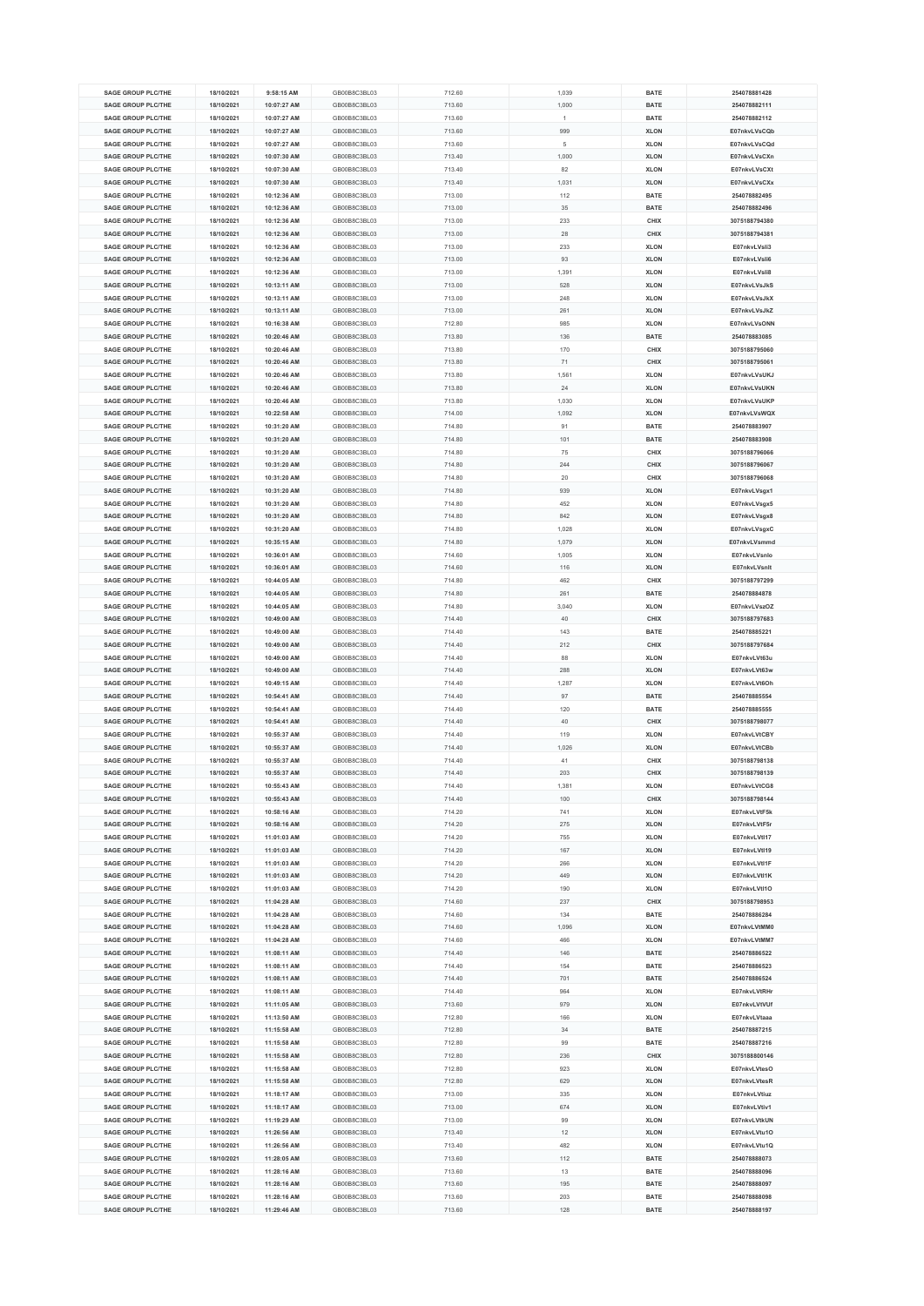| <b>SAGE GROUP PLC/THE</b> |            |             |              |        |       |             |               |
|---------------------------|------------|-------------|--------------|--------|-------|-------------|---------------|
|                           | 18/10/2021 | 9:58:15 AM  | GB00B8C3BL03 | 712.60 | 1,039 | <b>BATE</b> | 254078881428  |
| <b>SAGE GROUP PLC/THE</b> | 18/10/2021 | 10:07:27 AM | GB00B8C3BL03 | 713.60 | 1,000 | <b>BATE</b> | 254078882111  |
| <b>SAGE GROUP PLC/THE</b> | 18/10/2021 | 10:07:27 AM | GB00B8C3BL03 | 713.60 | 1     | <b>BATE</b> | 254078882112  |
|                           |            |             |              |        |       |             |               |
| <b>SAGE GROUP PLC/THE</b> | 18/10/2021 | 10:07:27 AM | GB00B8C3BL03 | 713.60 | 999   | <b>XLON</b> | E07nkvLVsCQb  |
| <b>SAGE GROUP PLC/THE</b> | 18/10/2021 | 10:07:27 AM | GB00B8C3BL03 | 713.60 | 5     | <b>XLON</b> | E07nkvLVsCQd  |
| <b>SAGE GROUP PLC/THE</b> | 18/10/2021 | 10:07:30 AM | GB00B8C3BL03 | 713.40 | 1,000 | <b>XLON</b> | E07nkvLVsCXn  |
|                           |            |             |              |        |       |             |               |
| <b>SAGE GROUP PLC/THE</b> | 18/10/2021 | 10:07:30 AM | GB00B8C3BL03 | 713.40 | 82    | <b>XLON</b> | E07nkvLVsCXt  |
| <b>SAGE GROUP PLC/THE</b> | 18/10/2021 | 10:07:30 AM | GB00B8C3BL03 | 713.40 | 1,031 | <b>XLON</b> | E07nkvLVsCXx  |
| <b>SAGE GROUP PLC/THE</b> | 18/10/2021 | 10:12:36 AM | GB00B8C3BL03 | 713.00 | 112   | <b>BATE</b> | 254078882495  |
|                           |            |             |              |        |       |             |               |
| <b>SAGE GROUP PLC/THE</b> | 18/10/2021 | 10:12:36 AM | GB00B8C3BL03 | 713.00 | 35    | <b>BATE</b> | 254078882496  |
| <b>SAGE GROUP PLC/THE</b> | 18/10/2021 | 10:12:36 AM | GB00B8C3BL03 | 713.00 | 233   | CHIX        | 3075188794380 |
| <b>SAGE GROUP PLC/THE</b> | 18/10/2021 | 10:12:36 AM | GB00B8C3BL03 | 713.00 | 28    | CHIX        | 3075188794381 |
|                           |            |             |              |        |       |             |               |
| <b>SAGE GROUP PLC/THE</b> | 18/10/2021 | 10:12:36 AM | GB00B8C3BL03 | 713.00 | 233   | <b>XLON</b> | E07nkvLVsli3  |
| <b>SAGE GROUP PLC/THE</b> | 18/10/2021 | 10:12:36 AM | GB00B8C3BL03 | 713.00 | 93    | <b>XLON</b> | E07nkvLVsli6  |
| <b>SAGE GROUP PLC/THE</b> | 18/10/2021 | 10:12:36 AM | GB00B8C3BL03 | 713.00 | 1,391 | <b>XLON</b> | E07nkvLVsli8  |
|                           |            | 10:13:11 AM |              |        |       |             |               |
| <b>SAGE GROUP PLC/THE</b> | 18/10/2021 |             | GB00B8C3BL03 | 713.00 | 528   | <b>XLON</b> | E07nkvLVsJkS  |
| <b>SAGE GROUP PLC/THE</b> | 18/10/2021 | 10:13:11 AM | GB00B8C3BL03 | 713.00 | 248   | <b>XLON</b> | E07nkvLVsJkX  |
| <b>SAGE GROUP PLC/THE</b> | 18/10/2021 | 10:13:11 AM | GB00B8C3BL03 | 713.00 | 261   | <b>XLON</b> | E07nkvLVsJkZ  |
| <b>SAGE GROUP PLC/THE</b> | 18/10/2021 | 10:16:38 AM | GB00B8C3BL03 | 712.80 | 985   | <b>XLON</b> | E07nkvLVsONN  |
|                           |            |             |              |        |       |             |               |
| <b>SAGE GROUP PLC/THE</b> | 18/10/2021 | 10:20:46 AM | GB00B8C3BL03 | 713.80 | 136   | <b>BATE</b> | 254078883085  |
| <b>SAGE GROUP PLC/THE</b> | 18/10/2021 | 10:20:46 AM | GB00B8C3BL03 | 713.80 | 170   | CHIX        | 3075188795060 |
| <b>SAGE GROUP PLC/THE</b> | 18/10/2021 | 10:20:46 AM | GB00B8C3BL03 | 713.80 | 71    | CHIX        | 3075188795061 |
|                           |            |             |              |        |       |             |               |
| <b>SAGE GROUP PLC/THE</b> | 18/10/2021 | 10:20:46 AM | GB00B8C3BL03 | 713.80 | 1,561 | <b>XLON</b> | E07nkvLVsUKJ  |
| <b>SAGE GROUP PLC/THE</b> | 18/10/2021 | 10:20:46 AM | GB00B8C3BL03 | 713.80 | 24    | <b>XLON</b> | E07nkvLVsUKN  |
| <b>SAGE GROUP PLC/THE</b> | 18/10/2021 | 10:20:46 AM | GB00B8C3BL03 | 713.80 | 1,030 | <b>XLON</b> | E07nkvLVsUKP  |
| SAGE GROUP PLC/THE        |            |             | GB00B8C3BL03 |        |       |             |               |
|                           | 18/10/2021 | 10:22:58 AM |              | 714.00 | 1,092 | <b>XLON</b> | E07nkvLVsWQX  |
| <b>SAGE GROUP PLC/THE</b> | 18/10/2021 | 10:31:20 AM | GB00B8C3BL03 | 714.80 | 91    | <b>BATE</b> | 254078883907  |
| <b>SAGE GROUP PLC/THE</b> | 18/10/2021 | 10:31:20 AM | GB00B8C3BL03 | 714.80 | 101   | <b>BATE</b> | 254078883908  |
|                           |            |             |              |        |       |             |               |
| <b>SAGE GROUP PLC/THE</b> | 18/10/2021 | 10:31:20 AM | GB00B8C3BL03 | 714.80 | 75    | CHIX        | 3075188796066 |
| <b>SAGE GROUP PLC/THE</b> | 18/10/2021 | 10:31:20 AM | GB00B8C3BL03 | 714.80 | 244   | <b>CHIX</b> | 3075188796067 |
| <b>SAGE GROUP PLC/THE</b> | 18/10/2021 | 10:31:20 AM | GB00B8C3BL03 | 714.80 | 20    | CHIX        | 3075188796068 |
|                           |            |             |              |        |       |             |               |
| <b>SAGE GROUP PLC/THE</b> | 18/10/2021 | 10:31:20 AM | GB00B8C3BL03 | 714.80 | 939   | <b>XLON</b> | E07nkvLVsgx1  |
| <b>SAGE GROUP PLC/THE</b> | 18/10/2021 | 10:31:20 AM | GB00B8C3BL03 | 714.80 | 452   | <b>XLON</b> | E07nkvLVsgx5  |
| <b>SAGE GROUP PLC/THE</b> | 18/10/2021 | 10:31:20 AM | GB00B8C3BL03 | 714.80 | 842   | <b>XLON</b> | E07nkvLVsgx8  |
| <b>SAGE GROUP PLC/THE</b> | 18/10/2021 | 10:31:20 AM | GB00B8C3BL03 | 714.80 | 1,028 | <b>XLON</b> | E07nkvLVsgxC  |
|                           |            |             |              |        |       |             |               |
| <b>SAGE GROUP PLC/THE</b> | 18/10/2021 | 10:35:15 AM | GB00B8C3BL03 | 714.80 | 1,079 | <b>XLON</b> | E07nkvLVsmmd  |
| <b>SAGE GROUP PLC/THE</b> | 18/10/2021 | 10:36:01 AM | GB00B8C3BL03 | 714.60 | 1,005 | <b>XLON</b> | E07nkvLVsnlo  |
| <b>SAGE GROUP PLC/THE</b> | 18/10/2021 | 10:36:01 AM | GB00B8C3BL03 | 714.60 | 116   | <b>XLON</b> | E07nkvLVsnlt  |
| <b>SAGE GROUP PLC/THE</b> | 18/10/2021 | 10:44:05 AM | GB00B8C3BL03 | 714.80 | 462   | CHIX        | 3075188797299 |
|                           |            |             |              |        |       |             |               |
| <b>SAGE GROUP PLC/THE</b> | 18/10/2021 | 10:44:05 AM | GB00B8C3BL03 | 714.80 | 261   | <b>BATE</b> | 254078884878  |
| <b>SAGE GROUP PLC/THE</b> | 18/10/2021 | 10:44:05 AM | GB00B8C3BL03 | 714.80 | 3,040 | <b>XLON</b> | E07nkvLVszOZ  |
|                           |            |             |              |        |       |             |               |
|                           |            |             |              |        |       |             |               |
| <b>SAGE GROUP PLC/THE</b> | 18/10/2021 | 10:49:00 AM | GB00B8C3BL03 | 714.40 | 40    | CHIX        | 3075188797683 |
| <b>SAGE GROUP PLC/THE</b> | 18/10/2021 | 10:49:00 AM | GB00B8C3BL03 | 714.40 | 143   | <b>BATE</b> | 254078885221  |
| <b>SAGE GROUP PLC/THE</b> | 18/10/2021 | 10:49:00 AM | GB00B8C3BL03 | 714.40 | 212   | CHIX        | 3075188797684 |
| <b>SAGE GROUP PLC/THE</b> |            |             | GB00B8C3BL03 | 714.40 | 88    |             | E07nkvLVt63u  |
|                           | 18/10/2021 | 10:49:00 AM |              |        |       | <b>XLON</b> |               |
| <b>SAGE GROUP PLC/THE</b> | 18/10/2021 | 10:49:00 AM | GB00B8C3BL03 | 714.40 | 288   | <b>XLON</b> | E07nkvLVt63w  |
| <b>SAGE GROUP PLC/THE</b> | 18/10/2021 | 10:49:15 AM | GB00B8C3BL03 | 714.40 | 1,287 | <b>XLON</b> | E07nkvLVt6Oh  |
| <b>SAGE GROUP PLC/THE</b> | 18/10/2021 | 10:54:41 AM | GB00B8C3BL03 | 714.40 | 97    | <b>BATE</b> | 254078885554  |
| <b>SAGE GROUP PLC/THE</b> | 18/10/2021 | 10:54:41 AM | GB00B8C3BL03 | 714.40 | 120   | <b>BATE</b> | 254078885555  |
|                           |            |             |              |        |       |             |               |
| <b>SAGE GROUP PLC/THE</b> | 18/10/2021 | 10:54:41 AM | GB00B8C3BL03 | 714.40 | 40    | CHIX        | 3075188798077 |
| <b>SAGE GROUP PLC/THE</b> | 18/10/2021 | 10:55:37 AM | GB00B8C3BL03 | 714.40 | 119   | <b>XLON</b> | E07nkvLVtCBY  |
| <b>SAGE GROUP PLC/THE</b> | 18/10/2021 | 10:55:37 AM | GB00B8C3BL03 | 714.40 | 1,026 | <b>XLON</b> | E07nkvLVtCBb  |
| <b>SAGE GROUP PLC/THE</b> | 18/10/2021 | 10:55:37 AM | GB00B8C3BL03 | 714.40 | 41    | CHIX        | 3075188798138 |
|                           |            |             |              |        |       |             |               |
| <b>SAGE GROUP PLC/THE</b> | 18/10/2021 | 10:55:37 AM | GB00B8C3BL03 | 714.40 | 203   | CHIX        | 3075188798139 |
| <b>SAGE GROUP PLC/THE</b> | 18/10/2021 | 10:55:43 AM | GB00B8C3BL03 | 714.40 | 1,381 | <b>XLON</b> | E07nkvLVtCG8  |
| <b>SAGE GROUP PLC/THE</b> | 18/10/2021 | 10:55:43 AM | GB00B8C3BL03 | 714.40 | 100   | CHIX        | 3075188798144 |
| <b>SAGE GROUP PLC/THE</b> | 18/10/2021 | 10:58:16 AM | GB00B8C3BL03 | 714.20 | 741   | <b>XLON</b> | E07nkvLVtF5k  |
|                           |            |             |              |        |       |             |               |
| <b>SAGE GROUP PLC/THE</b> | 18/10/2021 | 10:58:16 AM | GB00B8C3BL03 | 714.20 | 275   | <b>XLON</b> | E07nkvLVtF5r  |
| SAGE GROUP PLC/THE        | 18/10/2021 | 11:01:03 AM | GB00B8C3BL03 | 714.20 | 755   | <b>XLON</b> | E07nkvLVtl17  |
| <b>SAGE GROUP PLC/THE</b> | 18/10/2021 | 11:01:03 AM | GB00B8C3BL03 | 714.20 | 167   | <b>XLON</b> | E07nkvLVtl19  |
| <b>SAGE GROUP PLC/THE</b> |            | 11:01:03 AM | GB00B8C3BL03 |        | 266   | <b>XLON</b> | E07nkvLVtl1F  |
|                           | 18/10/2021 |             |              | 714.20 |       |             |               |
| <b>SAGE GROUP PLC/THE</b> | 18/10/2021 | 11:01:03 AM | GB00B8C3BL03 | 714.20 | 449   | <b>XLON</b> | E07nkvLVtl1K  |
| <b>SAGE GROUP PLC/THE</b> | 18/10/2021 | 11:01:03 AM | GB00B8C3BL03 | 714.20 | 190   | <b>XLON</b> | E07nkvLVtl1O  |
| SAGE GROUP PLC/THE        | 18/10/2021 | 11:04:28 AM | GB00B8C3BL03 | 714.60 | 237   | CHIX        | 3075188798953 |
|                           |            |             |              |        |       |             |               |
| <b>SAGE GROUP PLC/THE</b> | 18/10/2021 | 11:04:28 AM | GB00B8C3BL03 | 714.60 | 134   | <b>BATE</b> | 254078886284  |
| <b>SAGE GROUP PLC/THE</b> | 18/10/2021 | 11:04:28 AM | GB00B8C3BL03 | 714.60 | 1,096 | <b>XLON</b> | E07nkvLVtMM0  |
| <b>SAGE GROUP PLC/THE</b> | 18/10/2021 | 11:04:28 AM | GB00B8C3BL03 | 714.60 | 466   | <b>XLON</b> | E07nkvLVtMM7  |
| SAGE GROUP PLC/THE        |            |             |              |        | 146   |             |               |
|                           | 18/10/2021 | 11:08:11 AM | GB00B8C3BL03 | 714.40 |       | <b>BATE</b> | 254078886522  |
| <b>SAGE GROUP PLC/THE</b> | 18/10/2021 | 11:08:11 AM | GB00B8C3BL03 | 714.40 | 154   | <b>BATE</b> | 254078886523  |
| <b>SAGE GROUP PLC/THE</b> | 18/10/2021 | 11:08:11 AM | GB00B8C3BL03 | 714.40 | 701   | <b>BATE</b> | 254078886524  |
| <b>SAGE GROUP PLC/THE</b> | 18/10/2021 | 11:08:11 AM | GB00B8C3BL03 | 714.40 | 964   | <b>XLON</b> | E07nkvLVtRHr  |
| <b>SAGE GROUP PLC/THE</b> |            |             | GB00B8C3BL03 |        |       |             | E07nkvLVtVUf  |
|                           | 18/10/2021 | 11:11:05 AM |              | 713.60 | 979   | <b>XLON</b> |               |
| <b>SAGE GROUP PLC/THE</b> | 18/10/2021 | 11:13:50 AM | GB00B8C3BL03 | 712.80 | 166   | <b>XLON</b> | E07nkvLVtaaa  |
| <b>SAGE GROUP PLC/THE</b> | 18/10/2021 | 11:15:58 AM | GB00B8C3BL03 | 712.80 | 34    | BATE        | 254078887215  |
| <b>SAGE GROUP PLC/THE</b> | 18/10/2021 | 11:15:58 AM | GB00B8C3BL03 | 712.80 | 99    | <b>BATE</b> | 254078887216  |
| <b>SAGE GROUP PLC/THE</b> |            |             | GB00B8C3BL03 |        | 236   |             |               |
|                           | 18/10/2021 | 11:15:58 AM |              | 712.80 |       | CHIX        | 3075188800146 |
| <b>SAGE GROUP PLC/THE</b> | 18/10/2021 | 11:15:58 AM | GB00B8C3BL03 | 712.80 | 923   | <b>XLON</b> | E07nkvLVtesO  |
| <b>SAGE GROUP PLC/THE</b> | 18/10/2021 | 11:15:58 AM | GB00B8C3BL03 | 712.80 | 629   | <b>XLON</b> | E07nkvLVtesR  |
| <b>SAGE GROUP PLC/THE</b> | 18/10/2021 | 11:18:17 AM | GB00B8C3BL03 | 713.00 | 335   | <b>XLON</b> | E07nkvLVtiuz  |
| <b>SAGE GROUP PLC/THE</b> | 18/10/2021 | 11:18:17 AM | GB00B8C3BL03 | 713.00 | 674   | <b>XLON</b> | E07nkvLVtiv1  |
|                           |            |             |              |        |       |             |               |
| <b>SAGE GROUP PLC/THE</b> | 18/10/2021 | 11:19:29 AM | GB00B8C3BL03 | 713.00 | 99    | <b>XLON</b> | E07nkvLVtkUN  |
| <b>SAGE GROUP PLC/THE</b> | 18/10/2021 | 11:26:56 AM | GB00B8C3BL03 | 713.40 | 12    | <b>XLON</b> | E07nkvLVtu1O  |
| <b>SAGE GROUP PLC/THE</b> | 18/10/2021 | 11:26:56 AM | GB00B8C3BL03 | 713.40 | 482   | <b>XLON</b> | E07nkvLVtu1Q  |
| <b>SAGE GROUP PLC/THE</b> | 18/10/2021 | 11:28:05 AM | GB00B8C3BL03 | 713.60 | 112   | <b>BATE</b> | 254078888073  |
|                           |            |             |              |        |       |             |               |
| <b>SAGE GROUP PLC/THE</b> | 18/10/2021 | 11:28:16 AM | GB00B8C3BL03 | 713.60 | 13    | <b>BATE</b> | 254078888096  |
| <b>SAGE GROUP PLC/THE</b> | 18/10/2021 | 11:28:16 AM | GB00B8C3BL03 | 713.60 | 195   | <b>BATE</b> | 254078888097  |
| <b>SAGE GROUP PLC/THE</b> | 18/10/2021 | 11:28:16 AM | GB00B8C3BL03 | 713.60 | 203   | <b>BATE</b> | 254078888098  |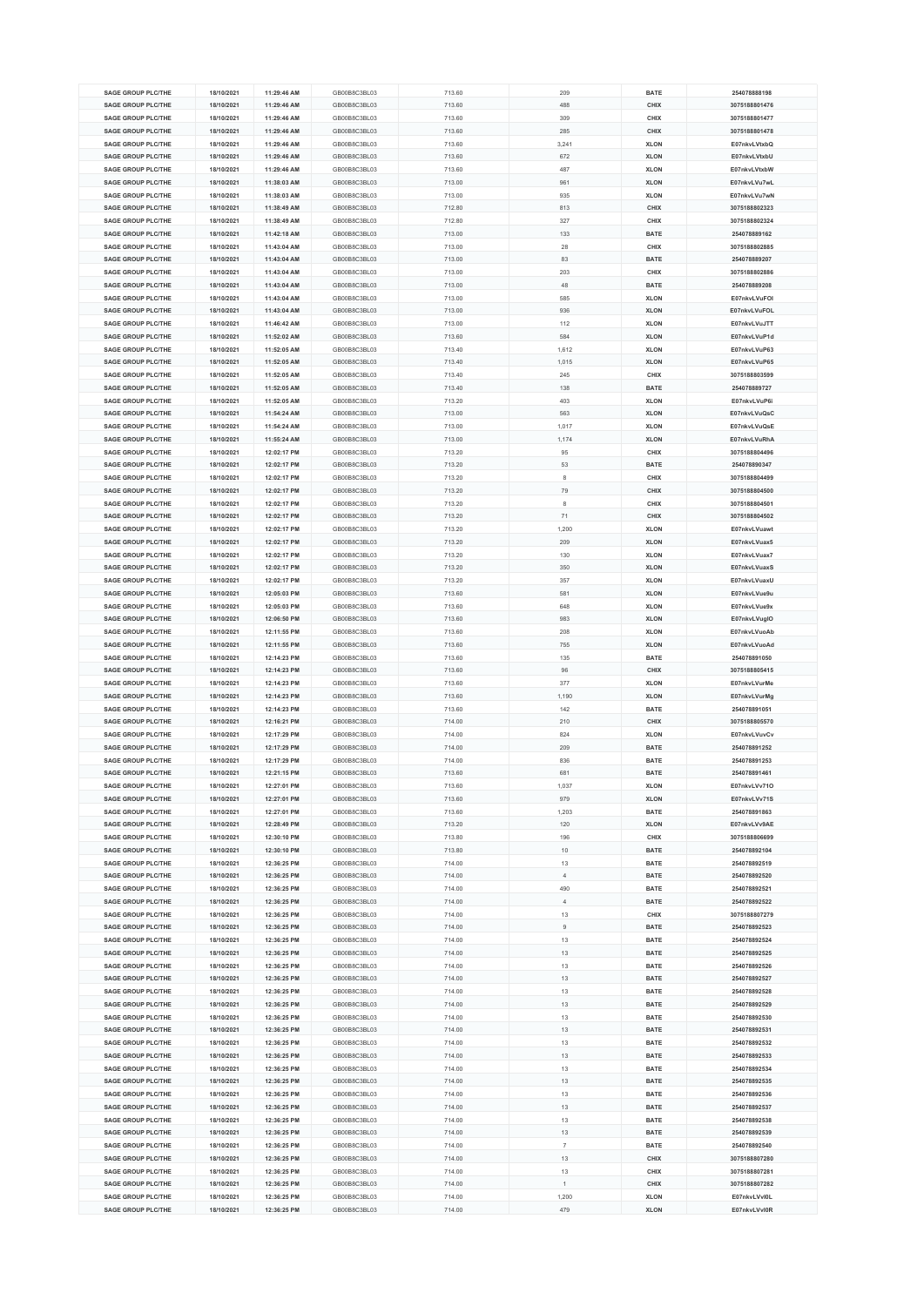| <b>SAGE GROUP PLC/THE</b> | 18/10/2021 | 11:29:46 AM | GB00B8C3BL03 | 713.60 | 209            | <b>BATE</b> | 254078888198  |
|---------------------------|------------|-------------|--------------|--------|----------------|-------------|---------------|
|                           |            |             |              |        |                |             |               |
| <b>SAGE GROUP PLC/THE</b> | 18/10/2021 | 11:29:46 AM | GB00B8C3BL03 | 713.60 | 488            | CHIX        | 3075188801476 |
| <b>SAGE GROUP PLC/THE</b> | 18/10/2021 | 11:29:46 AM | GB00B8C3BL03 | 713.60 | 309            | CHIX        | 3075188801477 |
| <b>SAGE GROUP PLC/THE</b> | 18/10/2021 | 11:29:46 AM | GB00B8C3BL03 | 713.60 | 285            | CHIX        | 3075188801478 |
|                           |            |             |              |        |                |             |               |
| <b>SAGE GROUP PLC/THE</b> | 18/10/2021 | 11:29:46 AM | GB00B8C3BL03 | 713.60 | 3,241          | <b>XLON</b> | E07nkvLVtxbQ  |
| <b>SAGE GROUP PLC/THE</b> | 18/10/2021 | 11:29:46 AM | GB00B8C3BL03 | 713.60 | 672            | <b>XLON</b> | E07nkvLVtxbU  |
| <b>SAGE GROUP PLC/THE</b> | 18/10/2021 | 11:29:46 AM | GB00B8C3BL03 | 713.60 | 487            | <b>XLON</b> | E07nkvLVtxbW  |
| <b>SAGE GROUP PLC/THE</b> | 18/10/2021 | 11:38:03 AM | GB00B8C3BL03 | 713.00 | 961            | <b>XLON</b> | E07nkvLVu7wL  |
| <b>SAGE GROUP PLC/THE</b> | 18/10/2021 | 11:38:03 AM | GB00B8C3BL03 | 713.00 | 935            | <b>XLON</b> | E07nkvLVu7wN  |
|                           |            |             |              |        |                |             |               |
| <b>SAGE GROUP PLC/THE</b> | 18/10/2021 | 11:38:49 AM | GB00B8C3BL03 | 712.80 | 813            | CHIX        | 3075188802323 |
| <b>SAGE GROUP PLC/THE</b> | 18/10/2021 | 11:38:49 AM | GB00B8C3BL03 | 712.80 | 327            | CHIX        | 3075188802324 |
| <b>SAGE GROUP PLC/THE</b> | 18/10/2021 | 11:42:18 AM | GB00B8C3BL03 | 713.00 | 133            | <b>BATE</b> | 254078889162  |
| <b>SAGE GROUP PLC/THE</b> | 18/10/2021 | 11:43:04 AM | GB00B8C3BL03 | 713.00 | 28             | CHIX        | 3075188802885 |
|                           |            |             |              |        |                |             |               |
| <b>SAGE GROUP PLC/THE</b> | 18/10/2021 | 11:43:04 AM | GB00B8C3BL03 | 713.00 | 83             | <b>BATE</b> | 254078889207  |
| <b>SAGE GROUP PLC/THE</b> | 18/10/2021 | 11:43:04 AM | GB00B8C3BL03 | 713.00 | 203            | CHIX        | 3075188802886 |
| <b>SAGE GROUP PLC/THE</b> | 18/10/2021 | 11:43:04 AM | GB00B8C3BL03 | 713.00 | 48             | <b>BATE</b> | 254078889208  |
| <b>SAGE GROUP PLC/THE</b> | 18/10/2021 | 11:43:04 AM | GB00B8C3BL03 | 713.00 | 585            | <b>XLON</b> | E07nkvLVuFOI  |
|                           |            |             |              |        |                |             |               |
| <b>SAGE GROUP PLC/THE</b> | 18/10/2021 | 11:43:04 AM | GB00B8C3BL03 | 713.00 | 936            | <b>XLON</b> | E07nkvLVuFOL  |
| <b>SAGE GROUP PLC/THE</b> | 18/10/2021 | 11:46:42 AM | GB00B8C3BL03 | 713.00 | 112            | <b>XLON</b> | E07nkvLVuJTT  |
| <b>SAGE GROUP PLC/THE</b> | 18/10/2021 | 11:52:02 AM | GB00B8C3BL03 | 713.60 | 584            | <b>XLON</b> | E07nkvLVuP1d  |
| <b>SAGE GROUP PLC/THE</b> | 18/10/2021 | 11:52:05 AM | GB00B8C3BL03 | 713.40 | 1,612          | <b>XLON</b> | E07nkvLVuP63  |
| <b>SAGE GROUP PLC/THE</b> | 18/10/2021 |             | GB00B8C3BL03 | 713.40 |                | <b>XLON</b> | E07nkvLVuP65  |
|                           |            | 11:52:05 AM |              |        | 1,015          |             |               |
| <b>SAGE GROUP PLC/THE</b> | 18/10/2021 | 11:52:05 AM | GB00B8C3BL03 | 713.40 | 245            | CHIX        | 3075188803599 |
| <b>SAGE GROUP PLC/THE</b> | 18/10/2021 | 11:52:05 AM | GB00B8C3BL03 | 713.40 | 138            | <b>BATE</b> | 254078889727  |
| <b>SAGE GROUP PLC/THE</b> | 18/10/2021 | 11:52:05 AM | GB00B8C3BL03 | 713.20 | 403            | <b>XLON</b> | E07nkvLVuP6i  |
| <b>SAGE GROUP PLC/THE</b> | 18/10/2021 | 11:54:24 AM | GB00B8C3BL03 | 713.00 | 563            | <b>XLON</b> | E07nkvLVuQsC  |
|                           |            |             |              |        |                |             |               |
| <b>SAGE GROUP PLC/THE</b> | 18/10/2021 | 11:54:24 AM | GB00B8C3BL03 | 713.00 | 1,017          | <b>XLON</b> | E07nkvLVuQsE  |
| <b>SAGE GROUP PLC/THE</b> | 18/10/2021 | 11:55:24 AM | GB00B8C3BL03 | 713.00 | 1,174          | <b>XLON</b> | E07nkvLVuRhA  |
| <b>SAGE GROUP PLC/THE</b> | 18/10/2021 | 12:02:17 PM | GB00B8C3BL03 | 713.20 | 95             | CHIX        | 3075188804496 |
| <b>SAGE GROUP PLC/THE</b> | 18/10/2021 | 12:02:17 PM | GB00B8C3BL03 | 713.20 | 53             | BATE        | 254078890347  |
|                           |            |             |              |        |                |             |               |
| <b>SAGE GROUP PLC/THE</b> | 18/10/2021 | 12:02:17 PM | GB00B8C3BL03 | 713.20 | 8              | CHIX        | 3075188804499 |
| <b>SAGE GROUP PLC/THE</b> | 18/10/2021 | 12:02:17 PM | GB00B8C3BL03 | 713.20 | 79             | CHIX        | 3075188804500 |
| <b>SAGE GROUP PLC/THE</b> | 18/10/2021 | 12:02:17 PM | GB00B8C3BL03 | 713.20 | 8              | CHIX        | 3075188804501 |
| <b>SAGE GROUP PLC/THE</b> | 18/10/2021 | 12:02:17 PM | GB00B8C3BL03 | 713.20 | 71             | CHIX        | 3075188804502 |
|                           |            |             |              |        |                |             |               |
| <b>SAGE GROUP PLC/THE</b> | 18/10/2021 | 12:02:17 PM | GB00B8C3BL03 | 713.20 | 1,200          | <b>XLON</b> | E07nkvLVuawt  |
| <b>SAGE GROUP PLC/THE</b> | 18/10/2021 | 12:02:17 PM | GB00B8C3BL03 | 713.20 | 209            | <b>XLON</b> | E07nkvLVuax5  |
| <b>SAGE GROUP PLC/THE</b> | 18/10/2021 | 12:02:17 PM | GB00B8C3BL03 | 713.20 | 130            | <b>XLON</b> | E07nkvLVuax7  |
| <b>SAGE GROUP PLC/THE</b> | 18/10/2021 | 12:02:17 PM | GB00B8C3BL03 | 713.20 | 350            | <b>XLON</b> | E07nkvLVuaxS  |
| <b>SAGE GROUP PLC/THE</b> |            |             | GB00B8C3BL03 |        | 357            |             |               |
|                           | 18/10/2021 | 12:02:17 PM |              | 713.20 |                | <b>XLON</b> | E07nkvLVuaxU  |
| <b>SAGE GROUP PLC/THE</b> | 18/10/2021 | 12:05:03 PM | GB00B8C3BL03 | 713.60 | 581            | <b>XLON</b> | E07nkvLVue9u  |
| <b>SAGE GROUP PLC/THE</b> | 18/10/2021 | 12:05:03 PM | GB00B8C3BL03 | 713.60 | 648            | <b>XLON</b> | E07nkvLVue9x  |
|                           |            |             |              |        |                |             |               |
|                           |            |             |              |        |                |             |               |
| <b>SAGE GROUP PLC/THE</b> | 18/10/2021 | 12:06:50 PM | GB00B8C3BL03 | 713.60 | 983            | <b>XLON</b> | E07nkvLVugIO  |
| <b>SAGE GROUP PLC/THE</b> | 18/10/2021 | 12:11:55 PM | GB00B8C3BL03 | 713.60 | 208            | <b>XLON</b> | E07nkvLVuoAb  |
| <b>SAGE GROUP PLC/THE</b> | 18/10/2021 | 12:11:55 PM | GB00B8C3BL03 | 713.60 | 755            | <b>XLON</b> | E07nkvLVuoAd  |
| <b>SAGE GROUP PLC/THE</b> | 18/10/2021 | 12:14:23 PM | GB00B8C3BL03 | 713.60 | 135            | <b>BATE</b> | 254078891050  |
|                           |            |             |              |        |                |             |               |
| <b>SAGE GROUP PLC/THE</b> | 18/10/2021 | 12:14:23 PM | GB00B8C3BL03 | 713.60 | 96             | CHIX        | 3075188805415 |
| <b>SAGE GROUP PLC/THE</b> | 18/10/2021 | 12:14:23 PM | GB00B8C3BL03 | 713.60 | 377            | <b>XLON</b> | E07nkvLVurMe  |
| <b>SAGE GROUP PLC/THE</b> | 18/10/2021 | 12:14:23 PM | GB00B8C3BL03 | 713.60 | 1,190          | <b>XLON</b> | E07nkvLVurMg  |
| <b>SAGE GROUP PLC/THE</b> | 18/10/2021 | 12:14:23 PM | GB00B8C3BL03 | 713.60 | 142            | <b>BATE</b> | 254078891051  |
| <b>SAGE GROUP PLC/THE</b> | 18/10/2021 | 12:16:21 PM | GB00B8C3BL03 | 714.00 | 210            | CHIX        | 3075188805570 |
| <b>SAGE GROUP PLC/THE</b> |            |             |              |        |                |             |               |
|                           | 18/10/2021 | 12:17:29 PM | GB00B8C3BL03 | 714.00 | 824            | <b>XLON</b> | E07nkvLVuvCv  |
| <b>SAGE GROUP PLC/THE</b> | 18/10/2021 | 12:17:29 PM | GB00B8C3BL03 | 714.00 | 209            | <b>BATE</b> | 254078891252  |
| <b>SAGE GROUP PLC/THE</b> | 18/10/2021 | 12:17:29 PM | GB00B8C3BL03 | 714.00 | 836            | <b>BATE</b> | 254078891253  |
| <b>SAGE GROUP PLC/THE</b> | 18/10/2021 | 12:21:15 PM | GB00B8C3BL03 | 713.60 | 681            | <b>BATE</b> | 254078891461  |
| <b>SAGE GROUP PLC/THE</b> | 18/10/2021 | 12:27:01 PM | GB00B8C3BL03 | 713.60 | 1,037          | <b>XLON</b> | E07nkvLVv71O  |
|                           |            |             |              |        |                |             |               |
| <b>SAGE GROUP PLC/THE</b> | 18/10/2021 | 12:27:01 PM | GB00B8C3BL03 | 713.60 | 979            | <b>XLON</b> | E07nkvLVv71S  |
| <b>SAGE GROUP PLC/THE</b> | 18/10/2021 | 12:27:01 PM | GB00B8C3BL03 | 713.60 | 1,203          | <b>BATE</b> | 254078891863  |
| <b>SAGE GROUP PLC/THE</b> | 18/10/2021 | 12:28:49 PM | GB00B8C3BL03 | 713.20 | 120            | <b>XLON</b> | E07nkvLVv9AE  |
| <b>SAGE GROUP PLC/THE</b> | 18/10/2021 | 12:30:10 PM | GB00B8C3BL03 | 713.80 | 196            | CHIX        | 3075188806699 |
| <b>SAGE GROUP PLC/THE</b> | 18/10/2021 | 12:30:10 PM | GB00B8C3BL03 | 713.80 | 10             | <b>BATE</b> | 254078892104  |
| <b>SAGE GROUP PLC/THE</b> |            |             |              |        |                |             |               |
|                           | 18/10/2021 | 12:36:25 PM | GB00B8C3BL03 | 714.00 | 13             | <b>BATE</b> | 254078892519  |
| <b>SAGE GROUP PLC/THE</b> | 18/10/2021 | 12:36:25 PM | GB00B8C3BL03 | 714.00 | $\overline{4}$ | <b>BATE</b> | 254078892520  |
| <b>SAGE GROUP PLC/THE</b> | 18/10/2021 | 12:36:25 PM | GB00B8C3BL03 | 714.00 | 490            | <b>BATE</b> | 254078892521  |
| <b>SAGE GROUP PLC/THE</b> | 18/10/2021 | 12:36:25 PM | GB00B8C3BL03 | 714.00 | 4              | <b>BATE</b> | 254078892522  |
| <b>SAGE GROUP PLC/THE</b> | 18/10/2021 | 12:36:25 PM | GB00B8C3BL03 | 714.00 | 13             | CHIX        | 3075188807279 |
| <b>SAGE GROUP PLC/THE</b> |            | 12:36:25 PM |              |        | 9              |             | 254078892523  |
|                           | 18/10/2021 |             | GB00B8C3BL03 | 714.00 |                | <b>BATE</b> |               |
| <b>SAGE GROUP PLC/THE</b> | 18/10/2021 | 12:36:25 PM | GB00B8C3BL03 | 714.00 | 13             | <b>BATE</b> | 254078892524  |
| <b>SAGE GROUP PLC/THE</b> | 18/10/2021 | 12:36:25 PM | GB00B8C3BL03 | 714.00 | 13             | <b>BATE</b> | 254078892525  |
| <b>SAGE GROUP PLC/THE</b> | 18/10/2021 | 12:36:25 PM | GB00B8C3BL03 | 714.00 | 13             | <b>BATE</b> | 254078892526  |
| <b>SAGE GROUP PLC/THE</b> | 18/10/2021 | 12:36:25 PM | GB00B8C3BL03 | 714.00 | 13             | <b>BATE</b> | 254078892527  |
|                           |            |             |              |        |                |             |               |
| <b>SAGE GROUP PLC/THE</b> | 18/10/2021 | 12:36:25 PM | GB00B8C3BL03 | 714.00 | 13             | <b>BATE</b> | 254078892528  |
| <b>SAGE GROUP PLC/THE</b> | 18/10/2021 | 12:36:25 PM | GB00B8C3BL03 | 714.00 | 13             | <b>BATE</b> | 254078892529  |
| <b>SAGE GROUP PLC/THE</b> | 18/10/2021 | 12:36:25 PM | GB00B8C3BL03 | 714.00 | 13             | <b>BATE</b> | 254078892530  |
| <b>SAGE GROUP PLC/THE</b> | 18/10/2021 | 12:36:25 PM | GB00B8C3BL03 | 714.00 | 13             | BATE        | 254078892531  |
|                           |            |             |              |        |                |             |               |
| <b>SAGE GROUP PLC/THE</b> | 18/10/2021 | 12:36:25 PM | GB00B8C3BL03 | 714.00 | 13             | <b>BATE</b> | 254078892532  |
| <b>SAGE GROUP PLC/THE</b> | 18/10/2021 | 12:36:25 PM | GB00B8C3BL03 | 714.00 | 13             | BATE        | 254078892533  |
| <b>SAGE GROUP PLC/THE</b> | 18/10/2021 | 12:36:25 PM | GB00B8C3BL03 | 714.00 | 13             | <b>BATE</b> | 254078892534  |
| <b>SAGE GROUP PLC/THE</b> | 18/10/2021 | 12:36:25 PM | GB00B8C3BL03 | 714.00 | 13             | <b>BATE</b> | 254078892535  |
| <b>SAGE GROUP PLC/THE</b> | 18/10/2021 | 12:36:25 PM | GB00B8C3BL03 | 714.00 | 13             | <b>BATE</b> | 254078892536  |
| <b>SAGE GROUP PLC/THE</b> |            |             |              |        |                |             |               |
|                           | 18/10/2021 | 12:36:25 PM | GB00B8C3BL03 | 714.00 | 13             | BATE        | 254078892537  |
| <b>SAGE GROUP PLC/THE</b> | 18/10/2021 | 12:36:25 PM | GB00B8C3BL03 | 714.00 | 13             | <b>BATE</b> | 254078892538  |
| <b>SAGE GROUP PLC/THE</b> | 18/10/2021 | 12:36:25 PM | GB00B8C3BL03 | 714.00 | 13             | <b>BATE</b> | 254078892539  |
| <b>SAGE GROUP PLC/THE</b> | 18/10/2021 | 12:36:25 PM | GB00B8C3BL03 | 714.00 | $\overline{7}$ | <b>BATE</b> | 254078892540  |
| <b>SAGE GROUP PLC/THE</b> |            | 12:36:25 PM | GB00B8C3BL03 |        |                |             |               |
|                           | 18/10/2021 |             |              | 714.00 | 13             | CHIX        | 3075188807280 |
| <b>SAGE GROUP PLC/THE</b> | 18/10/2021 | 12:36:25 PM | GB00B8C3BL03 | 714.00 | 13             | CHIX        | 3075188807281 |
| <b>SAGE GROUP PLC/THE</b> | 18/10/2021 | 12:36:25 PM | GB00B8C3BL03 | 714.00 |                | CHIX        | 3075188807282 |
| <b>SAGE GROUP PLC/THE</b> | 18/10/2021 | 12:36:25 PM | GB00B8C3BL03 | 714.00 | 1,200          | <b>XLON</b> | E07nkvLVvI0L  |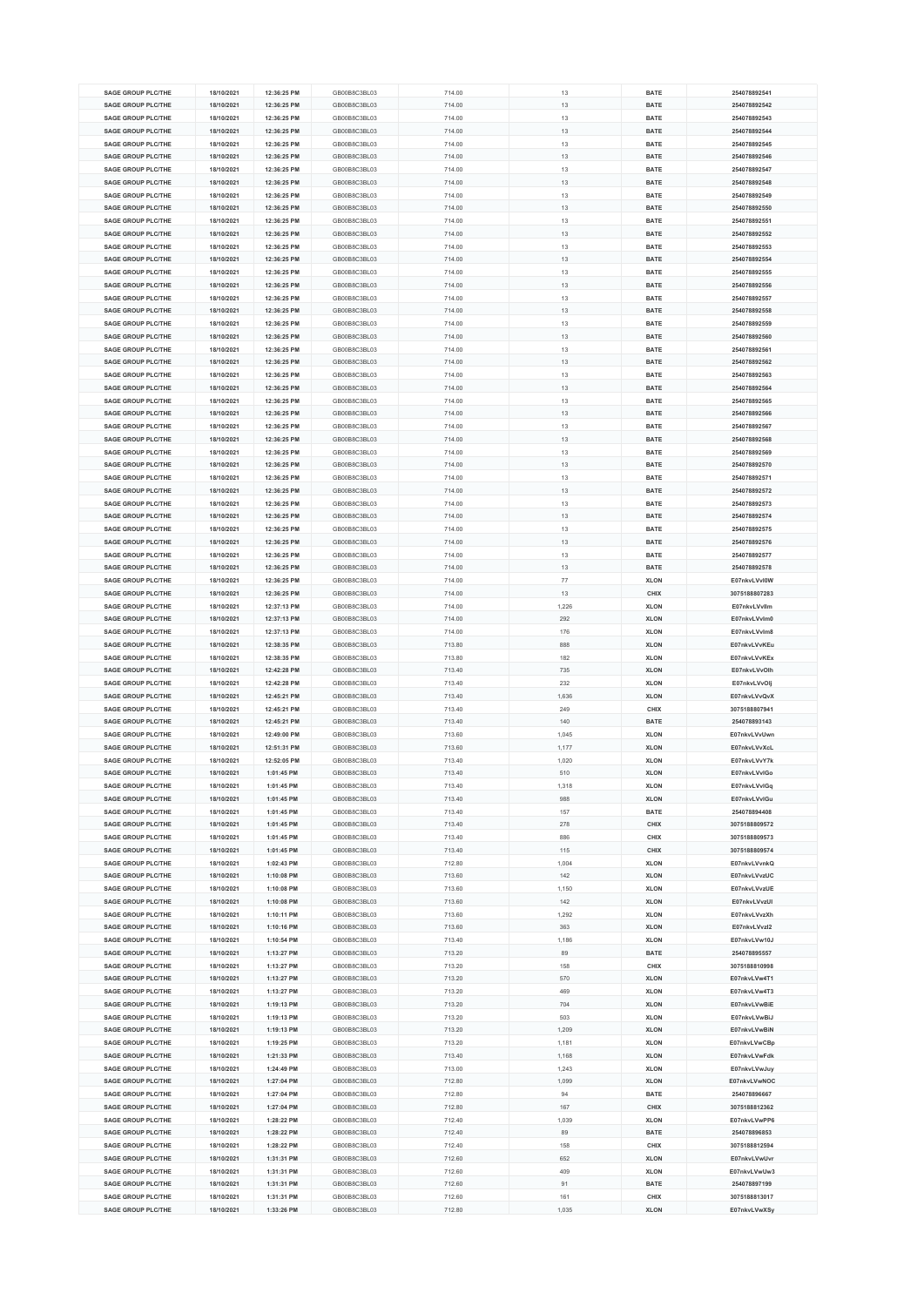| <b>SAGE GROUP PLC/THE</b> | 18/10/2021 | 12:36:25 PM  | GB00B8C3BL03 | 714.00 | 13     | <b>BATE</b> | 254078892541  |
|---------------------------|------------|--------------|--------------|--------|--------|-------------|---------------|
| <b>SAGE GROUP PLC/THE</b> | 18/10/2021 | 12:36:25 PM  | GB00B8C3BL03 | 714.00 | 13     | <b>BATE</b> | 254078892542  |
|                           |            |              |              |        |        |             |               |
| <b>SAGE GROUP PLC/THE</b> | 18/10/2021 | 12:36:25 PM  | GB00B8C3BL03 | 714.00 | 13     | <b>BATE</b> | 254078892543  |
| <b>SAGE GROUP PLC/THE</b> | 18/10/2021 | 12:36:25 PM  | GB00B8C3BL03 | 714.00 | 13     | <b>BATE</b> | 254078892544  |
| <b>SAGE GROUP PLC/THE</b> | 18/10/2021 | 12:36:25 PM  | GB00B8C3BL03 | 714.00 | 13     | <b>BATE</b> | 254078892545  |
| <b>SAGE GROUP PLC/THE</b> | 18/10/2021 | 12:36:25 PM  | GB00B8C3BL03 | 714.00 | 13     | <b>BATE</b> | 254078892546  |
|                           |            |              |              |        |        |             |               |
| <b>SAGE GROUP PLC/THE</b> | 18/10/2021 | 12:36:25 PM  | GB00B8C3BL03 | 714.00 | 13     | <b>BATE</b> | 254078892547  |
| <b>SAGE GROUP PLC/THE</b> | 18/10/2021 | 12:36:25 PM  | GB00B8C3BL03 | 714.00 | 13     | <b>BATE</b> | 254078892548  |
| <b>SAGE GROUP PLC/THE</b> | 18/10/2021 | 12:36:25 PM  | GB00B8C3BL03 | 714.00 | 13     | <b>BATE</b> | 254078892549  |
| <b>SAGE GROUP PLC/THE</b> | 18/10/2021 | 12:36:25 PM  | GB00B8C3BL03 | 714.00 | 13     | <b>BATE</b> | 254078892550  |
|                           |            |              |              |        |        |             |               |
| <b>SAGE GROUP PLC/THE</b> | 18/10/2021 | 12:36:25 PM  | GB00B8C3BL03 | 714.00 | 13     | <b>BATE</b> | 254078892551  |
| <b>SAGE GROUP PLC/THE</b> | 18/10/2021 | 12:36:25 PM  | GB00B8C3BL03 | 714.00 | 13     | <b>BATE</b> | 254078892552  |
| <b>SAGE GROUP PLC/THE</b> | 18/10/2021 | 12:36:25 PM  | GB00B8C3BL03 | 714.00 | 13     | <b>BATE</b> | 254078892553  |
| <b>SAGE GROUP PLC/THE</b> | 18/10/2021 | 12:36:25 PM  | GB00B8C3BL03 | 714.00 | 13     | <b>BATE</b> | 254078892554  |
|                           |            |              |              |        |        |             |               |
| <b>SAGE GROUP PLC/THE</b> | 18/10/2021 | 12:36:25 PM  | GB00B8C3BL03 | 714.00 | 13     | <b>BATE</b> | 254078892555  |
| <b>SAGE GROUP PLC/THE</b> | 18/10/2021 | 12:36:25 PM  | GB00B8C3BL03 | 714.00 | 13     | <b>BATE</b> | 254078892556  |
| <b>SAGE GROUP PLC/THE</b> | 18/10/2021 | 12:36:25 PM  | GB00B8C3BL03 | 714.00 | 13     | <b>BATE</b> | 254078892557  |
| SAGE GROUP PLC/THE        | 18/10/2021 | 12:36:25 PM  | GB00B8C3BL03 | 714.00 | 13     | <b>BATE</b> | 254078892558  |
|                           |            |              |              |        |        |             |               |
| <b>SAGE GROUP PLC/THE</b> | 18/10/2021 | 12:36:25 PM  | GB00B8C3BL03 | 714.00 | 13     | <b>BATE</b> | 254078892559  |
| <b>SAGE GROUP PLC/THE</b> | 18/10/2021 | 12:36:25 PM  | GB00B8C3BL03 | 714.00 | 13     | <b>BATE</b> | 254078892560  |
| <b>SAGE GROUP PLC/THE</b> | 18/10/2021 | 12:36:25 PM  | GB00B8C3BL03 | 714.00 | 13     | <b>BATE</b> | 254078892561  |
| <b>SAGE GROUP PLC/THE</b> | 18/10/2021 | 12:36:25 PM  | GB00B8C3BL03 | 714.00 | 13     | <b>BATE</b> | 254078892562  |
| <b>SAGE GROUP PLC/THE</b> | 18/10/2021 | 12:36:25 PM  | GB00B8C3BL03 | 714.00 | 13     | <b>BATE</b> | 254078892563  |
|                           |            |              |              |        |        |             |               |
| <b>SAGE GROUP PLC/THE</b> | 18/10/2021 | 12:36:25 PM  | GB00B8C3BL03 | 714.00 | 13     | <b>BATE</b> | 254078892564  |
| <b>SAGE GROUP PLC/THE</b> | 18/10/2021 | 12:36:25 PM  | GB00B8C3BL03 | 714.00 | 13     | <b>BATE</b> | 254078892565  |
| SAGE GROUP PLC/THE        | 18/10/2021 | 12:36:25 PM  | GB00B8C3BL03 | 714.00 | 13     | <b>BATE</b> | 254078892566  |
| <b>SAGE GROUP PLC/THE</b> | 18/10/2021 | 12:36:25 PM  | GB00B8C3BL03 | 714.00 | 13     | <b>BATE</b> | 254078892567  |
|                           |            |              |              |        |        |             |               |
| <b>SAGE GROUP PLC/THE</b> | 18/10/2021 | 12:36:25 PM  | GB00B8C3BL03 | 714.00 | 13     | <b>BATE</b> | 254078892568  |
| SAGE GROUP PLC/THE        | 18/10/2021 | 12:36:25 PM  | GB00B8C3BL03 | 714.00 | 13     | <b>BATE</b> | 254078892569  |
| <b>SAGE GROUP PLC/THE</b> | 18/10/2021 | 12:36:25 PM  | GB00B8C3BL03 | 714.00 | 13     | <b>BATE</b> | 254078892570  |
| <b>SAGE GROUP PLC/THE</b> | 18/10/2021 | 12:36:25 PM  | GB00B8C3BL03 | 714.00 | 13     | <b>BATE</b> | 254078892571  |
|                           |            |              |              |        |        |             |               |
| <b>SAGE GROUP PLC/THE</b> | 18/10/2021 | 12:36:25 PM  | GB00B8C3BL03 | 714.00 | 13     | <b>BATE</b> | 254078892572  |
| SAGE GROUP PLC/THE        | 18/10/2021 | 12:36:25 PM  | GB00B8C3BL03 | 714.00 | 13     | <b>BATE</b> | 254078892573  |
| <b>SAGE GROUP PLC/THE</b> | 18/10/2021 | 12:36:25 PM  | GB00B8C3BL03 | 714.00 | 13     | <b>BATE</b> | 254078892574  |
| <b>SAGE GROUP PLC/THE</b> | 18/10/2021 | 12:36:25 PM  | GB00B8C3BL03 | 714.00 | 13     | <b>BATE</b> | 254078892575  |
|                           |            |              |              |        |        |             |               |
| <b>SAGE GROUP PLC/THE</b> | 18/10/2021 | 12:36:25 PM  | GB00B8C3BL03 | 714.00 | 13     | <b>BATE</b> | 254078892576  |
| <b>SAGE GROUP PLC/THE</b> | 18/10/2021 | 12:36:25 PM  | GB00B8C3BL03 | 714.00 | 13     | <b>BATE</b> | 254078892577  |
| <b>SAGE GROUP PLC/THE</b> | 18/10/2021 | 12:36:25 PM  | GB00B8C3BL03 | 714.00 | 13     | <b>BATE</b> | 254078892578  |
| <b>SAGE GROUP PLC/THE</b> | 18/10/2021 | 12:36:25 PM  | GB00B8C3BL03 | 714.00 | $77\,$ | <b>XLON</b> | E07nkvLVvl0W  |
|                           |            |              |              |        |        |             |               |
| <b>SAGE GROUP PLC/THE</b> | 18/10/2021 | 12:36:25 PM  | GB00B8C3BL03 | 714.00 | 13     | CHIX        | 3075188807283 |
| <b>SAGE GROUP PLC/THE</b> | 18/10/2021 | 12:37:13 PM  | GB00B8C3BL03 | 714.00 | 1,226  | <b>XLON</b> | E07nkvLVvllm  |
| <b>SAGE GROUP PLC/THE</b> | 18/10/2021 | 12:37:13 PM  | GB00B8C3BL03 | 714.00 | 292    | <b>XLON</b> | E07nkvLVvlm0  |
| <b>SAGE GROUP PLC/THE</b> | 18/10/2021 | 12:37:13 PM  | GB00B8C3BL03 | 714.00 | 176    | <b>XLON</b> | E07nkvLVvlm8  |
| <b>SAGE GROUP PLC/THE</b> | 18/10/2021 | 12:38:35 PM  | GB00B8C3BL03 | 713.80 | 888    | <b>XLON</b> | E07nkvLVvKEu  |
|                           |            |              |              |        |        |             |               |
| <b>SAGE GROUP PLC/THE</b> | 18/10/2021 | 12:38:35 PM  | GB00B8C3BL03 | 713.80 | 182    | <b>XLON</b> | E07nkvLVvKEx  |
| <b>SAGE GROUP PLC/THE</b> | 18/10/2021 | 12:42:28 PM  | GB00B8C3BL03 | 713.40 | 735    | <b>XLON</b> | E07nkvLVvOlh  |
| <b>SAGE GROUP PLC/THE</b> | 18/10/2021 | 12:42:28 PM  | GB00B8C3BL03 | 713.40 | 232    | <b>XLON</b> | E07nkvLVvOlj  |
| <b>SAGE GROUP PLC/THE</b> | 18/10/2021 | 12:45:21 PM  | GB00B8C3BL03 | 713.40 | 1,636  | <b>XLON</b> | E07nkvLVvQvX  |
|                           |            |              |              |        |        |             |               |
| <b>SAGE GROUP PLC/THE</b> | 18/10/2021 | 12:45:21 PM  | GB00B8C3BL03 | 713.40 | 249    | CHIX        | 3075188807941 |
| <b>SAGE GROUP PLC/THE</b> | 18/10/2021 | 12:45:21 PM  | GB00B8C3BL03 | 713.40 | 140    | <b>BATE</b> | 254078893143  |
| <b>SAGE GROUP PLC/THE</b> | 18/10/2021 | 12:49:00 PM  | GB00B8C3BL03 | 713.60 | 1,045  | <b>XLON</b> | E07nkvLVvUwn  |
| <b>SAGE GROUP PLC/THE</b> | 18/10/2021 | 12:51:31 PM  | GB00B8C3BL03 | 713.60 | 1,177  | <b>XLON</b> | E07nkvLVvXcL  |
|                           |            |              |              |        |        |             |               |
| <b>SAGE GROUP PLC/THE</b> | 18/10/2021 | 12:52:05 PM  | GB00B8C3BL03 | 713.40 | 1,020  | <b>XLON</b> | E07nkvLVvY7k  |
| <b>SAGE GROUP PLC/THE</b> | 18/10/2021 | $1:01:45$ PM | GB00B8C3BL03 | 713.40 | 510    | <b>XLON</b> | E07nkvLVvIGo  |
| <b>SAGE GROUP PLC/THE</b> | 18/10/2021 | 1:01:45 PM   | GB00B8C3BL03 | 713.40 | 1,318  | <b>XLON</b> | E07nkvLVvlGq  |
| <b>SAGE GROUP PLC/THE</b> | 18/10/2021 | 1:01:45 PM   | GB00B8C3BL03 | 713.40 | 988    | <b>XLON</b> | E07nkvLVvlGu  |
| <b>SAGE GROUP PLC/THE</b> | 18/10/2021 | 1:01:45 PM   | GB00B8C3BL03 | 713.40 |        |             | 254078894408  |
|                           |            |              |              |        | 157    | <b>BATE</b> |               |
| <b>SAGE GROUP PLC/THE</b> | 18/10/2021 | 1:01:45 PM   | GB00B8C3BL03 | 713.40 | 278    | CHIX        | 3075188809572 |
| <b>SAGE GROUP PLC/THE</b> | 18/10/2021 | 1:01:45 PM   | GB00B8C3BL03 | 713.40 | 886    | CHIX        | 3075188809573 |
| <b>SAGE GROUP PLC/THE</b> | 18/10/2021 | 1:01:45 PM   | GB00B8C3BL03 | 713.40 | 115    | CHIX        | 3075188809574 |
| <b>SAGE GROUP PLC/THE</b> | 18/10/2021 | 1:02:43 PM   | GB00B8C3BL03 | 712.80 | 1,004  | <b>XLON</b> | E07nkvLVvnkQ  |
|                           |            |              |              |        |        |             |               |
| <b>SAGE GROUP PLC/THE</b> | 18/10/2021 | 1:10:08 PM   | GB00B8C3BL03 | 713.60 | 142    | <b>XLON</b> | E07nkvLVvzUC  |
| <b>SAGE GROUP PLC/THE</b> | 18/10/2021 | 1:10:08 PM   | GB00B8C3BL03 | 713.60 | 1,150  | <b>XLON</b> | E07nkvLVvzUE  |
| <b>SAGE GROUP PLC/THE</b> | 18/10/2021 | 1:10:08 PM   | GB00B8C3BL03 | 713.60 | 142    | <b>XLON</b> | E07nkvLVvzUI  |
| <b>SAGE GROUP PLC/THE</b> | 18/10/2021 | 1:10:11 PM   | GB00B8C3BL03 | 713.60 | 1,292  | <b>XLON</b> | E07nkvLVvzXh  |
| <b>SAGE GROUP PLC/THE</b> | 18/10/2021 | 1:10:16 PM   | GB00B8C3BL03 | 713.60 | 363    | <b>XLON</b> | E07nkvLVvzl2  |
| <b>SAGE GROUP PLC/THE</b> | 18/10/2021 | 1:10:54 PM   | GB00B8C3BL03 | 713.40 | 1,186  | <b>XLON</b> | E07nkvLVw10J  |
|                           |            |              |              |        |        |             |               |
| <b>SAGE GROUP PLC/THE</b> | 18/10/2021 | 1:13:27 PM   | GB00B8C3BL03 | 713.20 | 89     | <b>BATE</b> | 254078895557  |
| <b>SAGE GROUP PLC/THE</b> | 18/10/2021 | 1:13:27 PM   | GB00B8C3BL03 | 713.20 | 158    | CHIX        | 3075188810998 |
| <b>SAGE GROUP PLC/THE</b> | 18/10/2021 | 1:13:27 PM   | GB00B8C3BL03 | 713.20 | 570    | <b>XLON</b> | E07nkvLVw4T1  |
| <b>SAGE GROUP PLC/THE</b> | 18/10/2021 | 1:13:27 PM   | GB00B8C3BL03 | 713.20 | 469    | <b>XLON</b> | E07nkvLVw4T3  |
|                           |            |              |              |        |        |             |               |
| <b>SAGE GROUP PLC/THE</b> | 18/10/2021 | 1:19:13 PM   | GB00B8C3BL03 | 713.20 | 704    | <b>XLON</b> | E07nkvLVwBiE  |
| <b>SAGE GROUP PLC/THE</b> | 18/10/2021 | 1:19:13 PM   | GB00B8C3BL03 | 713.20 | 503    | <b>XLON</b> | E07nkvLVwBiJ  |
| <b>SAGE GROUP PLC/THE</b> | 18/10/2021 | 1:19:13 PM   | GB00B8C3BL03 | 713.20 | 1,209  | <b>XLON</b> | E07nkvLVwBiN  |
| SAGE GROUP PLC/THE        | 18/10/2021 | 1:19:25 PM   | GB00B8C3BL03 | 713.20 | 1,181  | <b>XLON</b> | E07nkvLVwCBp  |
|                           |            |              |              |        |        |             |               |
| <b>SAGE GROUP PLC/THE</b> | 18/10/2021 | 1:21:33 PM   | GB00B8C3BL03 | 713.40 | 1,168  | <b>XLON</b> | E07nkvLVwFdk  |
| <b>SAGE GROUP PLC/THE</b> | 18/10/2021 | 1:24:49 PM   | GB00B8C3BL03 | 713.00 | 1,243  | <b>XLON</b> | E07nkvLVwJuy  |
| <b>SAGE GROUP PLC/THE</b> | 18/10/2021 | 1:27:04 PM   | GB00B8C3BL03 | 712.80 | 1,099  | <b>XLON</b> | E07nkvLVwNOC  |
| <b>SAGE GROUP PLC/THE</b> | 18/10/2021 | 1:27:04 PM   | GB00B8C3BL03 | 712.80 | 94     | <b>BATE</b> | 254078896667  |
|                           |            |              |              |        |        |             |               |
| <b>SAGE GROUP PLC/THE</b> | 18/10/2021 | 1:27:04 PM   | GB00B8C3BL03 | 712.80 | 167    | CHIX        | 3075188812362 |
| <b>SAGE GROUP PLC/THE</b> | 18/10/2021 | 1:28:22 PM   | GB00B8C3BL03 | 712.40 | 1,039  | <b>XLON</b> | E07nkvLVwPP6  |
| <b>SAGE GROUP PLC/THE</b> | 18/10/2021 | 1:28:22 PM   | GB00B8C3BL03 | 712.40 | 89     | <b>BATE</b> | 254078896853  |
| <b>SAGE GROUP PLC/THE</b> | 18/10/2021 | 1:28:22 PM   | GB00B8C3BL03 | 712.40 | 158    | CHIX        | 3075188812594 |
| <b>SAGE GROUP PLC/THE</b> | 18/10/2021 | 1:31:31 PM   | GB00B8C3BL03 | 712.60 | 652    | <b>XLON</b> | E07nkvLVwUvr  |
|                           |            |              |              |        |        |             |               |
| <b>SAGE GROUP PLC/THE</b> | 18/10/2021 | 1:31:31 PM   | GB00B8C3BL03 | 712.60 | 409    | <b>XLON</b> | E07nkvLVwUw3  |
| <b>SAGE GROUP PLC/THE</b> | 18/10/2021 | 1:31:31 PM   | GB00B8C3BL03 | 712.60 | 91     | <b>BATE</b> | 254078897199  |
| <b>SAGE GROUP PLC/THE</b> | 18/10/2021 | 1:31:31 PM   | GB00B8C3BL03 | 712.60 | 161    | CHIX        | 3075188813017 |
| <b>SAGE GROUP PLC/THE</b> | 18/10/2021 | 1:33:26 PM   | GB00B8C3BL03 | 712.80 | 1,035  | <b>XLON</b> | E07nkvLVwXSy  |
|                           |            |              |              |        |        |             |               |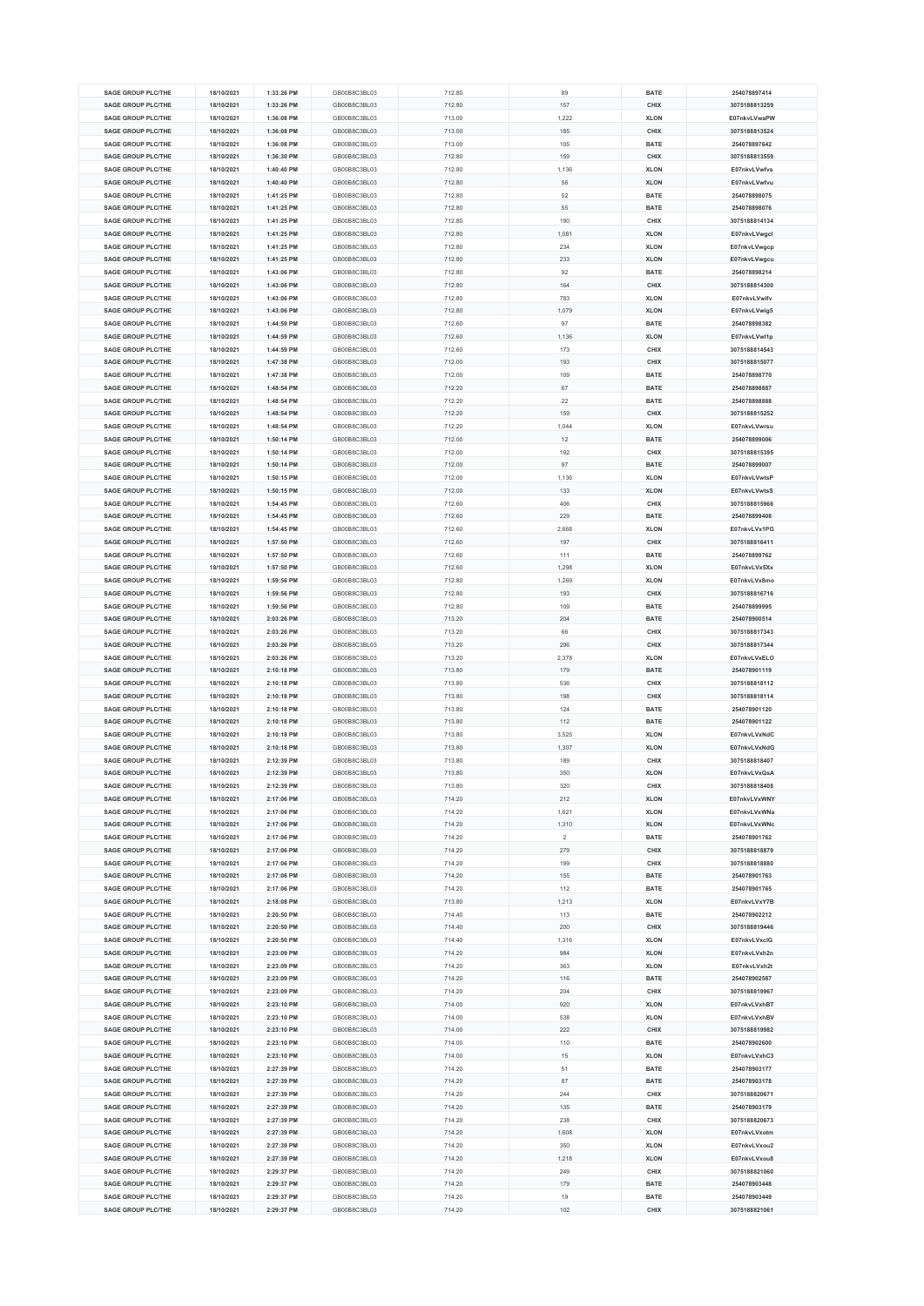| <b>SAGE GROUP PLC/THE</b>                              | 18/10/2021               | 1:33:26 PM               | GB00B8C3BL03                 | 712.80           | 89         | <b>BATE</b>         | 254078897414                  |
|--------------------------------------------------------|--------------------------|--------------------------|------------------------------|------------------|------------|---------------------|-------------------------------|
| <b>SAGE GROUP PLC/THE</b>                              |                          | 1:33:26 PM               | GB00B8C3BL03                 | 712.80           | 157        | CHIX                | 3075188813259                 |
|                                                        | 18/10/2021               |                          |                              |                  |            |                     |                               |
| <b>SAGE GROUP PLC/THE</b>                              | 18/10/2021               | 1:36:08 PM               | GB00B8C3BL03                 | 713.00           | 1,222      | <b>XLON</b>         | E07nkvLVwaPW                  |
| SAGE GROUP PLC/THE                                     | 18/10/2021               | 1:36:08 PM               | GB00B8C3BL03                 | 713.00           | 185        | CHIX                | 3075188813524                 |
| <b>SAGE GROUP PLC/THE</b>                              | 18/10/2021               | 1:36:08 PM               | GB00B8C3BL03                 | 713.00           | 105        | <b>BATE</b>         | 254078897642                  |
| <b>SAGE GROUP PLC/THE</b>                              |                          | 1:36:30 PM               | GB00B8C3BL03                 |                  | 159        | CHIX                | 3075188813559                 |
|                                                        | 18/10/2021               |                          |                              | 712.80           |            |                     |                               |
| <b>SAGE GROUP PLC/THE</b>                              | 18/10/2021               | 1:40:40 PM               | GB00B8C3BL03                 | 712.80           | 1,136      | <b>XLON</b>         | E07nkvLVwfvs                  |
| <b>SAGE GROUP PLC/THE</b>                              | 18/10/2021               | 1:40:40 PM               | GB00B8C3BL03                 | 712.80           | 56         | <b>XLON</b>         | E07nkvLVwfvu                  |
| <b>SAGE GROUP PLC/THE</b>                              | 18/10/2021               | 1:41:25 PM               | GB00B8C3BL03                 | 712.80           | 52         | <b>BATE</b>         | 254078898075                  |
| <b>SAGE GROUP PLC/THE</b>                              | 18/10/2021               | 1:41:25 PM               | GB00B8C3BL03                 | 712.80           | 55         | <b>BATE</b>         | 254078898076                  |
| <b>SAGE GROUP PLC/THE</b>                              |                          |                          | GB00B8C3BL03                 |                  |            |                     | 3075188814134                 |
|                                                        | 18/10/2021               | 1:41:25 PM               |                              | 712.80           | 190        | CHIX                |                               |
| <b>SAGE GROUP PLC/THE</b>                              | 18/10/2021               | 1:41:25 PM               | GB00B8C3BL03                 | 712.80           | 1,08       | <b>XLON</b>         | E07nkvLVwgcl                  |
| <b>SAGE GROUP PLC/THE</b>                              | 18/10/2021               | 1:41:25 PM               | GB00B8C3BL03                 | 712.80           | 234        | <b>XLON</b>         | E07nkvLVwgcp                  |
| <b>SAGE GROUP PLC/THE</b>                              | 18/10/2021               | 1:41:25 PM               | GB00B8C3BL03                 | 712.80           | 233        | <b>XLON</b>         | E07nkvLVwgcu                  |
| <b>SAGE GROUP PLC/THE</b>                              | 18/10/2021               | 1:43:06 PM               | GB00B8C3BL03                 | 712.80           | 92         | <b>BATE</b>         | 254078898214                  |
|                                                        |                          |                          |                              |                  |            |                     |                               |
| <b>SAGE GROUP PLC/THE</b>                              | 18/10/2021               | 1:43:06 PM               | GB00B8C3BL03                 | 712.80           | 164        | CHIX                | 3075188814300                 |
| <b>SAGE GROUP PLC/THE</b>                              | 18/10/2021               | 1:43:06 PM               | GB00B8C3BL03                 | 712.80           | 783        | <b>XLON</b>         | E07nkvLVwifv                  |
| <b>SAGE GROUP PLC/THE</b>                              | 18/10/2021               | 1:43:06 PM               | GB00B8C3BL03                 | 712.80           | 1,079      | <b>XLON</b>         | E07nkvLVwig5                  |
| <b>SAGE GROUP PLC/THE</b>                              | 18/10/2021               | 1:44:59 PM               | GB00B8C3BL03                 | 712.60           | 97         | <b>BATE</b>         | 254078898382                  |
| <b>SAGE GROUP PLC/THE</b>                              | 18/10/2021               | 1:44:59 PM               | GB00B8C3BL03                 | 712.60           | 1,136      | <b>XLON</b>         | E07nkvLVwl1p                  |
| <b>SAGE GROUP PLC/THE</b>                              | 18/10/2021               | 1:44:59 PM               | GB00B8C3BL03                 | 712.60           | 173        | CHIX                | 3075188814543                 |
|                                                        |                          |                          |                              |                  |            |                     |                               |
| <b>SAGE GROUP PLC/THE</b>                              | 18/10/2021               | 1:47:38 PM               | GB00B8C3BL03                 | 712.00           | 193        | CHIX                | 3075188815077                 |
| <b>SAGE GROUP PLC/THE</b>                              | 18/10/2021               | 1:47:38 PM               | GB00B8C3BL03                 | 712.00           | 109        | <b>BATE</b>         | 254078898770                  |
| <b>SAGE GROUP PLC/THE</b>                              | 18/10/2021               | 1:48:54 PM               | GB00B8C3BL03                 | 712.20           | 67         | <b>BATE</b>         | 254078898887                  |
| <b>SAGE GROUP PLC/THE</b>                              | 18/10/2021               | 1:48:54 PM               | GB00B8C3BL03                 | 712.20           | 22         | <b>BATE</b>         | 254078898888                  |
| <b>SAGE GROUP PLC/THE</b>                              | 18/10/2021               | 1:48:54 PM               | GB00B8C3BL03                 | 712.20           | 159        | CHIX                | 3075188815252                 |
|                                                        |                          |                          |                              |                  |            |                     |                               |
| <b>SAGE GROUP PLC/THE</b>                              | 18/10/2021               | 1:48:54 PM               | GB00B8C3BL03                 | 712.20           | 1,044      | <b>XLON</b>         | E07nkvLVwrsu                  |
| <b>SAGE GROUP PLC/THE</b>                              | 18/10/2021               | 1:50:14 PM               | GB00B8C3BL03                 | 712.00           | 12         | <b>BATE</b>         | 254078899006                  |
| <b>SAGE GROUP PLC/THE</b>                              | 18/10/2021               | 1:50:14 PM               | GB00B8C3BL03                 | 712.00           | 192        | CHIX                | 3075188815395                 |
| <b>SAGE GROUP PLC/THE</b>                              | 18/10/2021               | 1:50:14 PM               | GB00B8C3BL03                 | 712.00           | 97         | <b>BATE</b>         | 254078899007                  |
| SAGE GROUP PLC/THE                                     | 18/10/2021               | 1:50:15 PM               | GB00B8C3BL03                 |                  |            |                     | E07nkvLVwtsP                  |
|                                                        |                          |                          |                              | 712.00           | 1,136      | <b>XLON</b>         |                               |
| <b>SAGE GROUP PLC/THE</b>                              | 18/10/2021               | 1:50:15 PM               | GB00B8C3BL03                 | 712.00           | 133        | <b>XLON</b>         | E07nkvLVwtsS                  |
| SAGE GROUP PLC/THE                                     | 18/10/2021               | 1:54:45 PM               | GB00B8C3BL03                 | 712.60           | 406        | CHIX                | 3075188815966                 |
| <b>SAGE GROUP PLC/THE</b>                              | 18/10/2021               | 1:54:45 PM               | GB00B8C3BL03                 | 712.60           | 229        | <b>BATE</b>         | 254078899408                  |
| SAGE GROUP PLC/THE                                     | 18/10/2021               | 1:54:45 PM               | GB00B8C3BL03                 | 712.60           | 2,668      | <b>XLON</b>         | E07nkvLVx1PG                  |
|                                                        |                          |                          |                              |                  |            |                     | 3075188816411                 |
| <b>SAGE GROUP PLC/THE</b>                              | 18/10/2021               | 1:57:50 PM               | GB00B8C3BL03                 | 712.60           | 197        | CHIX                |                               |
| <b>SAGE GROUP PLC/THE</b>                              | 18/10/2021               | 1:57:50 PM               | GB00B8C3BL03                 | 712.60           | 111        | <b>BATE</b>         | 254078899762                  |
| <b>SAGE GROUP PLC/THE</b>                              | 18/10/2021               | 1:57:50 PM               | GB00B8C3BL03                 | 712.60           | 1,298      | <b>XLON</b>         | E07nkvLVx5Xx                  |
| <b>SAGE GROUP PLC/THE</b>                              | 18/10/2021               | 1:59:56 PM               | GB00B8C3BL03                 | 712.80           | 1,269      | <b>XLON</b>         | E07nkvLVx8mo                  |
| <b>SAGE GROUP PLC/THE</b>                              | 18/10/2021               | 1:59:56 PM               | GB00B8C3BL03                 | 712.80           | 193        | CHIX                | 3075188816716                 |
| <b>SAGE GROUP PLC/THE</b>                              | 18/10/2021               | 1:59:56 PM               | GB00B8C3BL03                 | 712.80           | 109        | <b>BATE</b>         | 254078899995                  |
|                                                        |                          |                          |                              |                  |            |                     |                               |
| <b>SAGE GROUP PLC/THE</b>                              | 18/10/2021               | 2:03:26 PM               | GB00B8C3BL03                 | 713.20           | 204        | <b>BATE</b>         | 254078900514                  |
| <b>SAGE GROUP PLC/THE</b>                              | 18/10/2021               | 2:03:26 PM               | GB00B8C3BL03                 | 713.20           | 66         | CHIX                | 3075188817343                 |
| <b>SAGE GROUP PLC/THE</b>                              | 18/10/2021               | 2:03:26 PM               | GB00B8C3BL03                 | 713.20           | 296        | CHIX                | 3075188817344                 |
| <b>SAGE GROUP PLC/THE</b>                              | 18/10/2021               | 2:03:26 PM               | GB00B8C3BL03                 | 713.20           | 2,378      | <b>XLON</b>         | E07nkvLVxELO                  |
| <b>SAGE GROUP PLC/THE</b>                              | 18/10/2021               | 2:10:18 PM               | GB00B8C3BL03                 | 713.80           | 179        | <b>BATE</b>         | 254078901119                  |
|                                                        |                          |                          |                              |                  |            |                     |                               |
| <b>SAGE GROUP PLC/THE</b>                              | 18/10/2021               | 2:10:18 PM               | GB00B8C3BL03                 | 713.80           | 536        | CHIX                | 3075188818112                 |
| <b>SAGE GROUP PLC/THE</b>                              | 18/10/2021               | 2:10:18 PM               | GB00B8C3BL03                 | 713.80           | 198        | CHIX                | 3075188818114                 |
| <b>SAGE GROUP PLC/THE</b>                              | 18/10/2021               | 2:10:18 PM               | GB00B8C3BL03                 | 713.80           | 124        | <b>BATE</b>         | 254078901120                  |
| SAGE GROUP PLC/THE                                     | 18/10/2021               | 2:10:18 PM               | GB00B8C3BL03                 | 713.80           | 112        | <b>BATE</b>         | 254078901122                  |
| <b>SAGE GROUP PLC/THE</b>                              | 18/10/2021               | 2:10:18 PM               | GB00B8C3BL03                 | 713.80           | 3,525      | <b>XLON</b>         | E07nkvLVxNdC                  |
| SAGE GROUP PLC/THE                                     |                          |                          |                              |                  |            |                     |                               |
|                                                        | 18/10/2021               | 2:10:18 PM               | GB00B8C3BL03                 | 713.80           | 1,307      | <b>XLON</b>         | E07nkvLVxNdG                  |
| <b>SAGE GROUP PLC/THE</b>                              | 18/10/2021               | 2:12:39 PM               | GB00B8C3BL03                 | 713.80           | 189        | CHIX                | 3075188818407                 |
| <b>SAGE GROUP PLC/THE</b>                              | 18/10/2021               | 2:12:39 PM               | GB00B8C3BL03                 | 713.80           | 350        | <b>XLON</b>         | E07nkvLVxOsA                  |
| <b>SAGE GROUP PLC/THE</b>                              | 18/10/2021               | 2:12:39 PM               | GB00B8C3BL03                 | 713.80           | 320        | CHIX                | 3075188818408                 |
| <b>SAGE GROUP PLC/THE</b>                              | 18/10/2021               | 2:17:06 PM               | GB00B8C3BL03                 | 714.20           | 212        | <b>XLON</b>         | E07nkvLVxWNY                  |
| <b>SAGE GROUP PLC/THE</b>                              | 18/10/2021               | 2:17:06 PM               | GB00B8C3BL03                 | 714.20           | 1,621      | <b>XLON</b>         | E07nkvLVxWNa                  |
|                                                        |                          |                          |                              |                  |            |                     |                               |
| <b>SAGE GROUP PLC/THE</b>                              | 18/10/2021               | 2:17:06 PM               | GB00B8C3BL03                 | 714.20           | 1,310      | <b>XLON</b>         | E07nkvLVxWNc                  |
| <b>SAGE GROUP PLC/THE</b>                              | 18/10/2021               | 2:17:06 PM               | GB00B8C3BL03                 | 714.20           | $\sqrt{2}$ | <b>BATE</b>         | 254078901762                  |
| <b>SAGE GROUP PLC/THE</b>                              | 18/10/2021               | 2:17:06 PM               | GB00B8C3BL03                 | 714.20           | 279        | CHIX                | 3075188818879                 |
| <b>SAGE GROUP PLC/THE</b>                              | 18/10/2021               | 2:17:06 PM               | GB00B8C3BL03                 | 714.20           | 199        | CHIX                | 3075188818880                 |
| <b>SAGE GROUP PLC/THE</b>                              | 18/10/2021               | 2:17:06 PM               | GB00B8C3BL03                 | 714.20           | 155        | <b>BATE</b>         | 254078901763                  |
| SAGE GROUP PLC/THE                                     |                          | 2:17:06 PM               | GB00B8C3BL03                 |                  |            | <b>BATE</b>         | 254078901765                  |
|                                                        | 18/10/2021               |                          |                              | 714.20           | 112        |                     |                               |
| <b>SAGE GROUP PLC/THE</b>                              | 18/10/2021               | 2:18:08 PM               | GB00B8C3BL03                 | 713.80           | 1,213      | <b>XLON</b>         | E07nkvLVxY7B                  |
| <b>SAGE GROUP PLC/THE</b>                              | 18/10/2021               | 2:20:50 PM               | GB00B8C3BL03                 | 714.40           | 113        | <b>BATE</b>         | 254078902212                  |
| <b>SAGE GROUP PLC/THE</b>                              | 18/10/2021               | 2:20:50 PM               | GB00B8C3BL03                 | 714.40           | 200        | CHIX                | 3075188819446                 |
| <b>SAGE GROUP PLC/THE</b>                              | 18/10/2021               | 2:20:50 PM               | GB00B8C3BL03                 | 714.40           | 1,316      | <b>XLON</b>         | E07nkvLVxclG                  |
| <b>SAGE GROUP PLC/THE</b>                              | 18/10/2021               | 2:23:09 PM               | GB00B8C3BL03                 | 714.20           | 984        | <b>XLON</b>         | E07nkvLVxh2n                  |
| <b>SAGE GROUP PLC/THE</b>                              | 18/10/2021               | 2:23:09 PM               | GB00B8C3BL03                 | 714.20           | 363        | <b>XLON</b>         | E07nkvLVxh2t                  |
|                                                        |                          |                          |                              |                  |            |                     |                               |
| <b>SAGE GROUP PLC/THE</b>                              | 18/10/2021               | 2:23:09 PM               | GB00B8C3BL03                 | 714.20           | 116        | <b>BATE</b>         | 254078902587                  |
| <b>SAGE GROUP PLC/THE</b>                              |                          |                          |                              |                  |            |                     | 3075188819967                 |
|                                                        | 18/10/2021               | 2:23:09 PM               | GB00B8C3BL03                 | 714.20           | 204        | CHIX                |                               |
| <b>SAGE GROUP PLC/THE</b>                              | 18/10/2021               | 2:23:10 PM               | GB00B8C3BL03                 | 714.00           | 920        | <b>XLON</b>         | E07nkvLVxhBT                  |
| <b>SAGE GROUP PLC/THE</b>                              | 18/10/2021               | 2:23:10 PM               | GB00B8C3BL03                 | 714.00           | 538        | <b>XLON</b>         | E07nkvLVxhBV                  |
|                                                        |                          |                          |                              |                  |            |                     |                               |
| <b>SAGE GROUP PLC/THE</b>                              | 18/10/2021               | 2:23:10 PM               | GB00B8C3BL03                 | 714.00           | 222        | CHIX                | 3075188819982                 |
| <b>SAGE GROUP PLC/THE</b>                              | 18/10/2021               | 2:23:10 PM               | GB00B8C3BL03                 | 714.00           | 110        | <b>BATE</b>         | 254078902600                  |
| <b>SAGE GROUP PLC/THE</b>                              | 18/10/2021               | 2:23:10 PM               | GB00B8C3BL03                 | 714.00           | 15         | <b>XLON</b>         | E07nkvLVxhC3                  |
| <b>SAGE GROUP PLC/THE</b>                              | 18/10/2021               | 2:27:39 PM               | GB00B8C3BL03                 | 714.20           | 51         | <b>BATE</b>         | 254078903177                  |
| <b>SAGE GROUP PLC/THE</b>                              | 18/10/2021               | 2:27:39 PM               | GB00B8C3BL03                 | 714.20           | 87         | <b>BATE</b>         | 254078903178                  |
|                                                        |                          |                          |                              |                  |            |                     |                               |
| <b>SAGE GROUP PLC/THE</b>                              | 18/10/2021               | 2:27:39 PM               | GB00B8C3BL03                 | 714.20           | 244        | CHIX                | 3075188820671                 |
| <b>SAGE GROUP PLC/THE</b>                              | 18/10/2021               | 2:27:39 PM               | GB00B8C3BL03                 | 714.20           | 135        | <b>BATE</b>         | 254078903179                  |
| <b>SAGE GROUP PLC/THE</b>                              | 18/10/2021               | 2:27:39 PM               | GB00B8C3BL03                 | 714.20           | 238        | CHIX                | 3075188820673                 |
| <b>SAGE GROUP PLC/THE</b>                              | 18/10/2021               | 2:27:39 PM               | GB00B8C3BL03                 | 714.20           | 1,608      | <b>XLON</b>         | E07nkvLVxotm                  |
| <b>SAGE GROUP PLC/THE</b>                              | 18/10/2021               | 2:27:39 PM               | GB00B8C3BL03                 | 714.20           | 350        | <b>XLON</b>         | E07nkvLVxou2                  |
| <b>SAGE GROUP PLC/THE</b>                              | 18/10/2021               | 2:27:39 PM               | GB00B8C3BL03                 | 714.20           | 1,218      | <b>XLON</b>         | E07nkvLVxou8                  |
|                                                        |                          |                          |                              |                  |            |                     |                               |
| <b>SAGE GROUP PLC/THE</b>                              | 18/10/2021               | 2:29:37 PM               | GB00B8C3BL03                 | 714.20           | 249        | CHIX                | 3075188821060                 |
| <b>SAGE GROUP PLC/THE</b>                              | 18/10/2021               | 2:29:37 PM               | GB00B8C3BL03                 | 714.20           | 179        | <b>BATE</b>         | 254078903448                  |
| <b>SAGE GROUP PLC/THE</b><br><b>SAGE GROUP PLC/THE</b> | 18/10/2021<br>18/10/2021 | 2:29:37 PM<br>2:29:37 PM | GB00B8C3BL03<br>GB00B8C3BL03 | 714.20<br>714.20 | 19<br>102  | <b>BATE</b><br>CHIX | 254078903449<br>3075188821061 |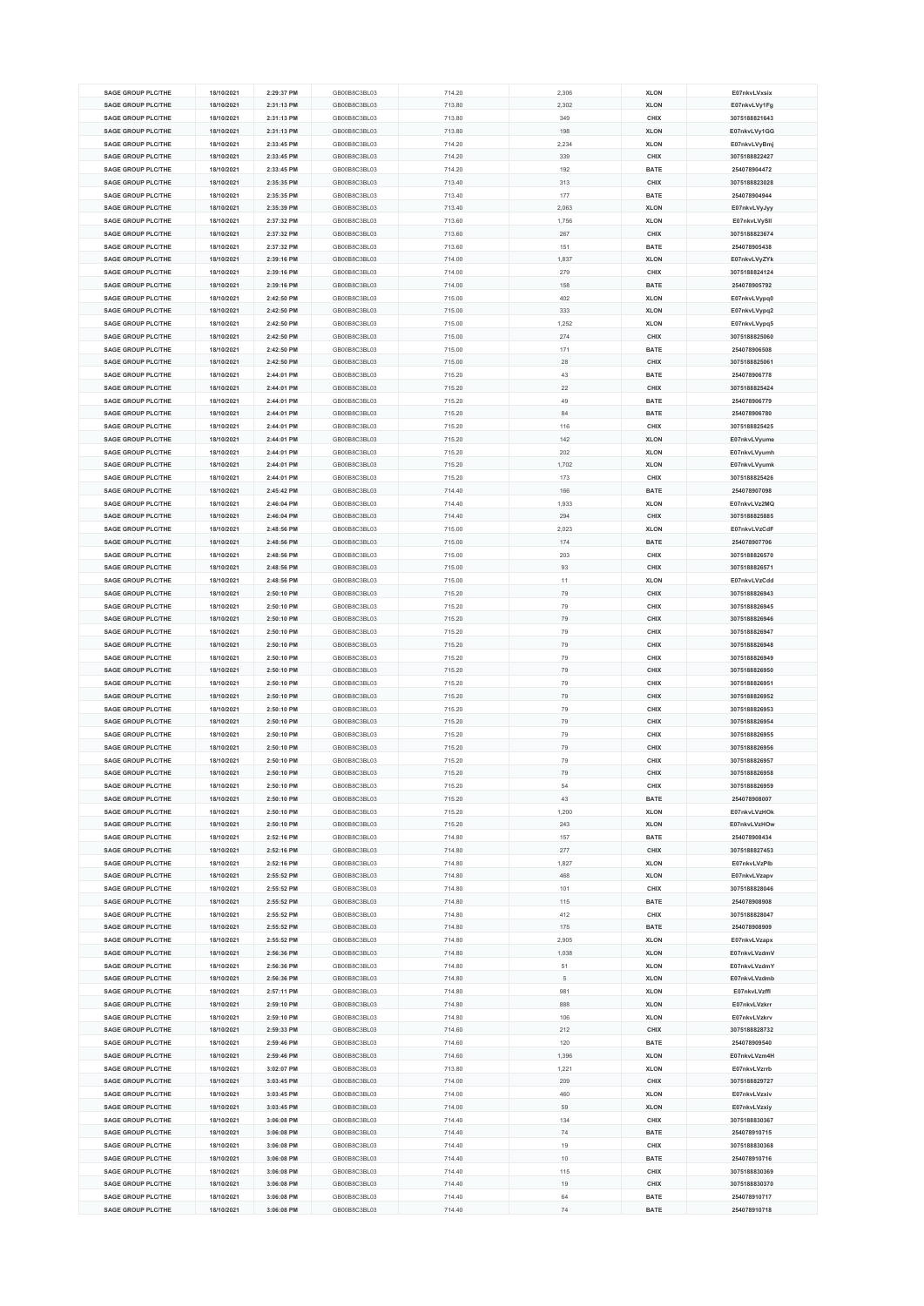| <b>SAGE GROUP PLC/THE</b> | 18/10/2021 | 2:29:37 PM | GB00B8C3BL03 | 714.20 | 2,306 | <b>XLON</b> | E07nkvLVxsix  |
|---------------------------|------------|------------|--------------|--------|-------|-------------|---------------|
|                           |            |            |              |        |       |             |               |
| <b>SAGE GROUP PLC/THE</b> | 18/10/2021 | 2:31:13 PM | GB00B8C3BL03 | 713.80 | 2,302 | <b>XLON</b> | E07nkvLVy1Fg  |
| <b>SAGE GROUP PLC/THE</b> | 18/10/2021 | 2:31:13 PM | GB00B8C3BL03 | 713.80 | 349   | CHIX        | 3075188821643 |
| <b>SAGE GROUP PLC/THE</b> | 18/10/2021 | 2:31:13 PM | GB00B8C3BL03 | 713.80 | 198   | <b>XLON</b> | E07nkvLVy1GG  |
| <b>SAGE GROUP PLC/THE</b> | 18/10/2021 | 2:33:45 PM | GB00B8C3BL03 | 714.20 | 2,234 | <b>XLON</b> | E07nkvLVyBmj  |
| <b>SAGE GROUP PLC/THE</b> | 18/10/2021 | 2:33:45 PM | GB00B8C3BL03 |        | 339   |             | 3075188822427 |
|                           |            |            |              | 714.20 |       | CHIX        |               |
| <b>SAGE GROUP PLC/THE</b> | 18/10/2021 | 2:33:45 PM | GB00B8C3BL03 | 714.20 | 192   | <b>BATE</b> | 254078904472  |
| <b>SAGE GROUP PLC/THE</b> | 18/10/2021 | 2:35:35 PM | GB00B8C3BL03 | 713.40 | 313   | CHIX        | 3075188823028 |
| <b>SAGE GROUP PLC/THE</b> | 18/10/2021 | 2:35:35 PM | GB00B8C3BL03 | 713.40 | 177   | <b>BATE</b> | 254078904944  |
| <b>SAGE GROUP PLC/THE</b> | 18/10/2021 | 2:35:39 PM | GB00B8C3BL03 | 713.40 | 2.063 | <b>XLON</b> | E07nkvLVyJyy  |
|                           |            |            |              |        |       |             |               |
| <b>SAGE GROUP PLC/THE</b> | 18/10/2021 | 2:37:32 PM | GB00B8C3BL03 | 713.60 | 1,756 | <b>XLON</b> | E07nkvLVySII  |
| <b>SAGE GROUP PLC/THE</b> | 18/10/2021 | 2:37:32 PM | GB00B8C3BL03 | 713.60 | 267   | CHIX        | 3075188823674 |
| <b>SAGE GROUP PLC/THE</b> | 18/10/2021 | 2:37:32 PM | GB00B8C3BL03 | 713.60 | 151   | <b>BATE</b> | 254078905438  |
| <b>SAGE GROUP PLC/THE</b> | 18/10/2021 | 2:39:16 PM | GB00B8C3BL03 | 714.00 | 1,837 | <b>XLON</b> | E07nkvLVyZYk  |
| <b>SAGE GROUP PLC/THE</b> | 18/10/2021 | 2:39:16 PM | GB00B8C3BL03 | 714.00 | 279   | CHIX        | 3075188824124 |
|                           |            |            |              |        |       |             |               |
| <b>SAGE GROUP PLC/THE</b> | 18/10/2021 | 2:39:16 PM | GB00B8C3BL03 | 714.00 | 158   | <b>BATE</b> | 254078905792  |
| <b>SAGE GROUP PLC/THE</b> | 18/10/2021 | 2:42:50 PM | GB00B8C3BL03 | 715.00 | 402   | <b>XLON</b> | E07nkvLVypq0  |
| <b>SAGE GROUP PLC/THE</b> | 18/10/2021 | 2:42:50 PM | GB00B8C3BL03 | 715.00 | 333   | <b>XLON</b> | E07nkvLVypq2  |
| <b>SAGE GROUP PLC/THE</b> | 18/10/2021 | 2:42:50 PM | GB00B8C3BL03 | 715.00 | 1,252 | <b>XLON</b> | E07nkvLVypq5  |
| <b>SAGE GROUP PLC/THE</b> | 18/10/2021 | 2:42:50 PM | GB00B8C3BL03 | 715.00 | 274   | CHIX        | 3075188825060 |
|                           |            |            |              |        |       |             |               |
| <b>SAGE GROUP PLC/THE</b> | 18/10/2021 | 2:42:50 PM | GB00B8C3BL03 | 715.00 | 171   | <b>BATE</b> | 254078906508  |
| <b>SAGE GROUP PLC/THE</b> | 18/10/2021 | 2:42:50 PM | GB00B8C3BL03 | 715.00 | 28    | <b>CHIX</b> | 3075188825061 |
| <b>SAGE GROUP PLC/THE</b> | 18/10/2021 | 2:44:01 PM | GB00B8C3BL03 | 715.20 | 43    | <b>BATE</b> | 254078906778  |
| <b>SAGE GROUP PLC/THE</b> | 18/10/2021 | 2:44:01 PM | GB00B8C3BL03 | 715.20 | 22    | CHIX        | 3075188825424 |
| <b>SAGE GROUP PLC/THE</b> | 18/10/2021 | 2:44:01 PM | GB00B8C3BL03 | 715.20 | 49    | <b>BATE</b> | 254078906779  |
|                           |            |            |              |        |       |             |               |
| <b>SAGE GROUP PLC/THE</b> | 18/10/2021 | 2:44:01 PM | GB00B8C3BL03 | 715.20 | 84    | <b>BATE</b> | 254078906780  |
| <b>SAGE GROUP PLC/THE</b> | 18/10/2021 | 2:44:01 PM | GB00B8C3BL03 | 715.20 | 116   | CHIX        | 3075188825425 |
| <b>SAGE GROUP PLC/THE</b> | 18/10/2021 | 2:44:01 PM | GB00B8C3BL03 | 715.20 | 142   | <b>XLON</b> | E07nkvLVyume  |
| <b>SAGE GROUP PLC/THE</b> | 18/10/2021 | 2:44:01 PM | GB00B8C3BL03 | 715.20 | 202   | <b>XLON</b> | E07nkvLVyumh  |
| <b>SAGE GROUP PLC/THE</b> | 18/10/2021 | 2:44:01 PM | GB00B8C3BL03 | 715.20 | 1,702 | <b>XLON</b> |               |
|                           |            |            |              |        |       |             | E07nkvLVyumk  |
| <b>SAGE GROUP PLC/THE</b> | 18/10/2021 | 2:44:01 PM | GB00B8C3BL03 | 715.20 | 173   | CHIX        | 3075188825426 |
| <b>SAGE GROUP PLC/THE</b> | 18/10/2021 | 2:45:42 PM | GB00B8C3BL03 | 714.40 | 166   | <b>BATE</b> | 254078907098  |
| <b>SAGE GROUP PLC/THE</b> | 18/10/2021 | 2:46:04 PM | GB00B8C3BL03 | 714.40 | 1,933 | <b>XLON</b> | E07nkvLVz2MQ  |
| <b>SAGE GROUP PLC/THE</b> | 18/10/2021 | 2:46:04 PM | GB00B8C3BL03 | 714.40 | 294   | CHIX        | 3075188825885 |
| <b>SAGE GROUP PLC/THE</b> | 18/10/2021 | 2:48:56 PM | GB00B8C3BL03 | 715.00 |       |             | E07nkvLVzCdF  |
|                           |            |            |              |        | 2,023 | <b>XLON</b> |               |
| <b>SAGE GROUP PLC/THE</b> | 18/10/2021 | 2:48:56 PM | GB00B8C3BL03 | 715.00 | 174   | <b>BATE</b> | 254078907706  |
| <b>SAGE GROUP PLC/THE</b> | 18/10/2021 | 2:48:56 PM | GB00B8C3BL03 | 715.00 | 203   | CHIX        | 3075188826570 |
| <b>SAGE GROUP PLC/THE</b> | 18/10/2021 | 2:48:56 PM | GB00B8C3BL03 | 715.00 | 93    | CHIX        | 3075188826571 |
| <b>SAGE GROUP PLC/THE</b> | 18/10/2021 | 2:48:56 PM | GB00B8C3BL03 | 715.00 | 11    | <b>XLON</b> | E07nkvLVzCdd  |
| <b>SAGE GROUP PLC/THE</b> | 18/10/2021 | 2:50:10 PM | GB00B8C3BL03 | 715.20 | 79    | CHIX        | 3075188826943 |
|                           |            |            |              |        |       |             |               |
| <b>SAGE GROUP PLC/THE</b> | 18/10/2021 | 2:50:10 PM | GB00B8C3BL03 | 715.20 | 79    | CHIX        | 3075188826945 |
| <b>SAGE GROUP PLC/THE</b> | 18/10/2021 | 2:50:10 PM | GB00B8C3BL03 | 715.20 | 79    | CHIX        | 3075188826946 |
| <b>SAGE GROUP PLC/THE</b> | 18/10/2021 | 2:50:10 PM | GB00B8C3BL03 | 715.20 | 79    | CHIX        | 3075188826947 |
| <b>SAGE GROUP PLC/THE</b> | 18/10/2021 | 2:50:10 PM | GB00B8C3BL03 | 715.20 | 79    | CHIX        | 3075188826948 |
| <b>SAGE GROUP PLC/THE</b> | 18/10/2021 | 2:50:10 PM | GB00B8C3BL03 |        |       | CHIX        | 3075188826949 |
|                           |            |            |              | 715.20 | 79    |             |               |
| <b>SAGE GROUP PLC/THE</b> | 18/10/2021 | 2:50:10 PM | GB00B8C3BL03 | 715.20 | 79    | CHIX        | 3075188826950 |
| <b>SAGE GROUP PLC/THE</b> | 18/10/2021 | 2:50:10 PM | GB00B8C3BL03 | 715.20 | 79    | CHIX        | 3075188826951 |
| <b>SAGE GROUP PLC/THE</b> | 18/10/2021 | 2:50:10 PM | GB00B8C3BL03 | 715.20 | 79    | CHIX        | 3075188826952 |
| SAGE GROUP PLC/THE        | 18/10/2021 | 2:50:10 PM | GB00B8C3BL03 | 715.20 | 79    | CHIX        | 3075188826953 |
| <b>SAGE GROUP PLC/THE</b> | 18/10/2021 | 2:50:10 PM | GB00B8C3BL03 | 715.20 | 79    | CHIX        | 3075188826954 |
|                           |            |            |              |        |       |             |               |
| <b>SAGE GROUP PLC/THE</b> | 18/10/2021 | 2:50:10 PM | GB00B8C3BL03 | 715.20 | 79    | CHIX        | 3075188826955 |
| <b>SAGE GROUP PLC/THE</b> | 18/10/2021 | 2:50:10 PM | GB00B8C3BL03 | 715.20 | 79    | CHIX        | 3075188826956 |
| <b>SAGE GROUP PLC/THE</b> | 18/10/2021 | 2:50:10 PM | GB00B8C3BL03 | 715.20 | 79    | CHIX        | 3075188826957 |
| <b>SAGE GROUP PLC/THE</b> | 18/10/2021 | 2:50:10 PM | GB00B8C3BL03 | 715.20 | 79    | CHIX        | 3075188826958 |
| <b>SAGE GROUP PLC/THE</b> | 18/10/2021 | 2:50:10 PM | GB00B8C3BL03 | 715.20 | 54    | CHIX        | 3075188826959 |
|                           |            |            |              |        |       |             |               |
| <b>SAGE GROUP PLC/THE</b> | 18/10/2021 | 2:50:10 PM | GB00B8C3BL03 | 715.20 | 43    | <b>BATE</b> | 254078908007  |
| <b>SAGE GROUP PLC/THE</b> | 18/10/2021 | 2:50:10 PM | GB00B8C3BL03 | 715.20 | 1,200 | <b>XLON</b> | E07nkvLVzHOk  |
| SAGE GROUP PLC/THE        | 18/10/2021 | 2:50:10 PM | GB00B8C3BL03 | 715.20 | 243   | <b>XLON</b> | E07nkvLVzHOw  |
| <b>SAGE GROUP PLC/THE</b> | 18/10/2021 | 2:52:16 PM | GB00B8C3BL03 | 714.80 | 157   | <b>BATE</b> | 254078908434  |
| <b>SAGE GROUP PLC/THE</b> | 18/10/2021 | 2:52:16 PM | GB00B8C3BL03 | 714.80 | 277   | CHIX        | 3075188827453 |
| <b>SAGE GROUP PLC/THE</b> | 18/10/2021 | 2:52:16 PM | GB00B8C3BL03 | 714.80 | 1,827 | <b>XLON</b> | E07nkvLVzPlb  |
|                           |            |            |              |        |       |             |               |
| <b>SAGE GROUP PLC/THE</b> | 18/10/2021 | 2:55:52 PM | GB00B8C3BL03 | 714.80 | 468   | <b>XLON</b> | E07nkvLVzapv  |
| <b>SAGE GROUP PLC/THE</b> | 18/10/2021 | 2:55:52 PM | GB00B8C3BL03 | 714.80 | 101   | CHIX        | 3075188828046 |
| <b>SAGE GROUP PLC/THE</b> | 18/10/2021 | 2:55:52 PM | GB00B8C3BL03 | 714.80 | 115   | BATE        | 254078908908  |
| <b>SAGE GROUP PLC/THE</b> | 18/10/2021 | 2:55:52 PM | GB00B8C3BL03 | 714.80 | 412   | CHIX        | 3075188828047 |
| <b>SAGE GROUP PLC/THE</b> | 18/10/2021 | 2:55:52 PM | GB00B8C3BL03 | 714.80 | 175   | BATE        | 254078908909  |
| <b>SAGE GROUP PLC/THE</b> | 18/10/2021 | 2:55:52 PM | GB00B8C3BL03 | 714.80 | 2,905 | <b>XLON</b> | E07nkvLVzapx  |
|                           |            |            |              |        |       |             |               |
| <b>SAGE GROUP PLC/THE</b> | 18/10/2021 | 2:56:36 PM | GB00B8C3BL03 | 714.80 | 1,038 | <b>XLON</b> | E07nkvLVzdmV  |
| <b>SAGE GROUP PLC/THE</b> | 18/10/2021 | 2:56:36 PM | GB00B8C3BL03 | 714.80 | 51    | <b>XLON</b> | E07nkvLVzdmY  |
| <b>SAGE GROUP PLC/THE</b> | 18/10/2021 | 2:56:36 PM | GB00B8C3BL03 | 714.80 | 5     | <b>XLON</b> | E07nkvLVzdmb  |
| <b>SAGE GROUP PLC/THE</b> | 18/10/2021 | 2:57:11 PM | GB00B8C3BL03 | 714.80 | 981   | <b>XLON</b> | E07nkvLVzffl  |
| <b>SAGE GROUP PLC/THE</b> | 18/10/2021 | 2:59:10 PM | GB00B8C3BL03 | 714.80 | 888   | <b>XLON</b> | E07nkvLVzkrr  |
|                           |            |            |              |        |       |             |               |
| <b>SAGE GROUP PLC/THE</b> | 18/10/2021 | 2:59:10 PM | GB00B8C3BL03 | 714.80 | 106   | <b>XLON</b> | E07nkvLVzkrv  |
| <b>SAGE GROUP PLC/THE</b> | 18/10/2021 | 2:59:33 PM | GB00B8C3BL03 | 714.60 | 212   | CHIX        | 3075188828732 |
| <b>SAGE GROUP PLC/THE</b> | 18/10/2021 | 2:59:46 PM | GB00B8C3BL03 | 714.60 | 120   | <b>BATE</b> | 254078909540  |
| <b>SAGE GROUP PLC/THE</b> | 18/10/2021 | 2:59:46 PM | GB00B8C3BL03 | 714.60 | 1,396 | <b>XLON</b> | E07nkvLVzm4H  |
| <b>SAGE GROUP PLC/THE</b> | 18/10/2021 | 3:02:07 PM | GB00B8C3BL03 | 713.80 | 1,221 | <b>XLON</b> | E07nkvLVzrrb  |
|                           |            |            |              |        |       |             |               |
| <b>SAGE GROUP PLC/THE</b> | 18/10/2021 | 3:03:45 PM | GB00B8C3BL03 | 714.00 | 209   | CHIX        | 3075188829727 |
| <b>SAGE GROUP PLC/THE</b> | 18/10/2021 | 3:03:45 PM | GB00B8C3BL03 | 714.00 | 460   | <b>XLON</b> | E07nkvLVzxiv  |
| <b>SAGE GROUP PLC/THE</b> | 18/10/2021 | 3:03:45 PM | GB00B8C3BL03 | 714.00 | 59    | <b>XLON</b> | E07nkvLVzxiy  |
| <b>SAGE GROUP PLC/THE</b> | 18/10/2021 | 3:06:08 PM | GB00B8C3BL03 | 714.40 | 134   | CHIX        | 3075188830367 |
| <b>SAGE GROUP PLC/THE</b> | 18/10/2021 | 3:06:08 PM | GB00B8C3BL03 | 714.40 | 74    | <b>BATE</b> | 254078910715  |
| <b>SAGE GROUP PLC/THE</b> | 18/10/2021 | 3:06:08 PM | GB00B8C3BL03 | 714.40 | 19    | CHIX        | 3075188830368 |
|                           |            |            |              |        |       |             |               |
| <b>SAGE GROUP PLC/THE</b> | 18/10/2021 | 3:06:08 PM | GB00B8C3BL03 | 714.40 | 10    | <b>BATE</b> | 254078910716  |
| <b>SAGE GROUP PLC/THE</b> | 18/10/2021 | 3:06:08 PM | GB00B8C3BL03 | 714.40 | 115   | CHIX        | 3075188830369 |
| <b>SAGE GROUP PLC/THE</b> | 18/10/2021 | 3:06:08 PM | GB00B8C3BL03 | 714.40 | 19    | CHIX        | 3075188830370 |
| <b>SAGE GROUP PLC/THE</b> | 18/10/2021 | 3:06:08 PM | GB00B8C3BL03 | 714.40 | 64    | <b>BATE</b> | 254078910717  |
| <b>SAGE GROUP PLC/THE</b> | 18/10/2021 | 3:06:08 PM | GB00B8C3BL03 | 714.40 | 74    | <b>BATE</b> | 254078910718  |
|                           |            |            |              |        |       |             |               |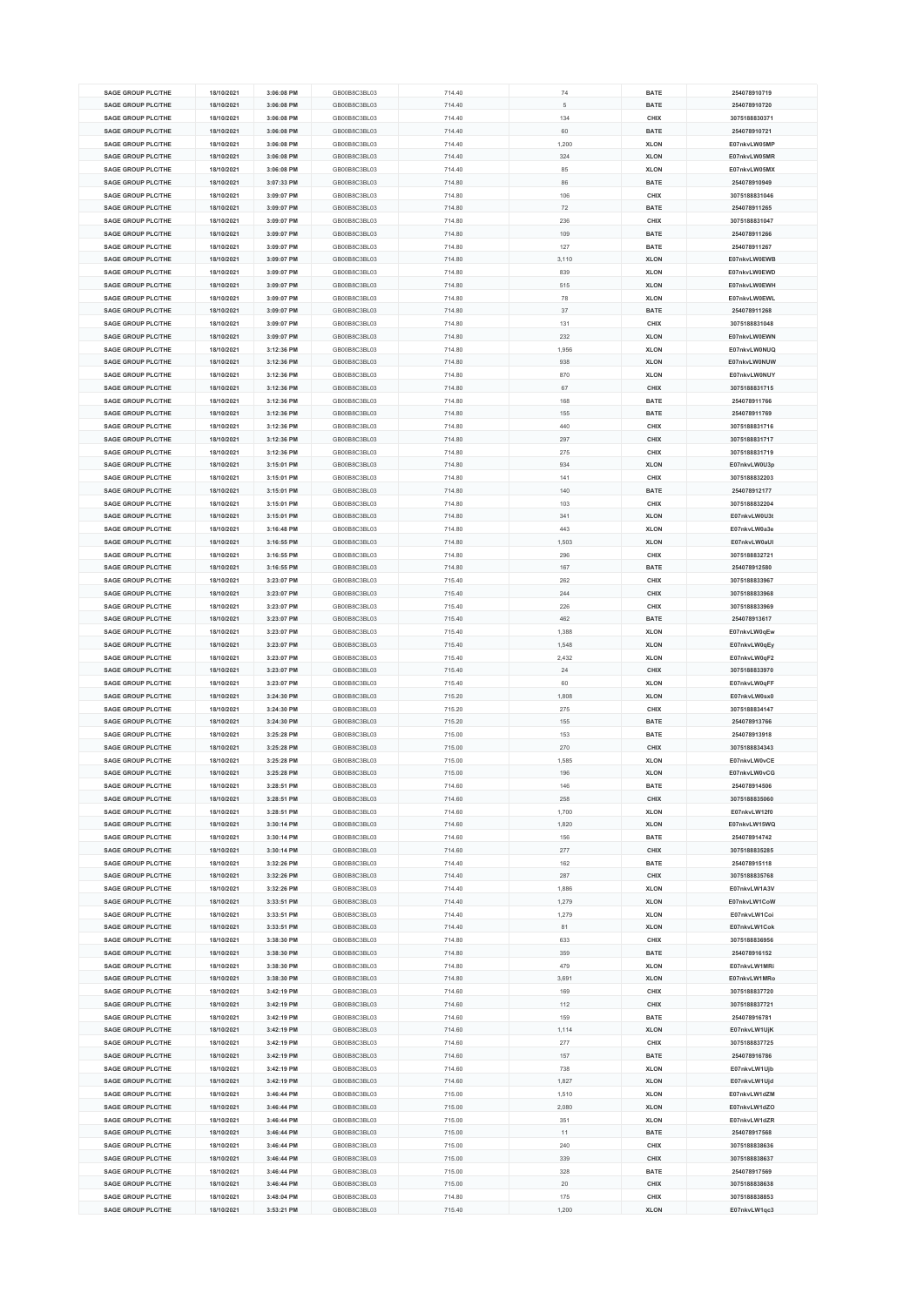| <b>SAGE GROUP PLC/THE</b>                              | 18/10/2021               | 3:06:08 PM               | GB00B8C3BL03                 | 714.40           | 74           | <b>BATE</b>         | 254078910719                  |
|--------------------------------------------------------|--------------------------|--------------------------|------------------------------|------------------|--------------|---------------------|-------------------------------|
|                                                        |                          |                          |                              |                  |              |                     |                               |
| <b>SAGE GROUP PLC/THE</b>                              | 18/10/2021               | 3:06:08 PM               | GB00B8C3BL03                 | 714.40           | 5            | <b>BATE</b>         | 254078910720                  |
| <b>SAGE GROUP PLC/THE</b>                              | 18/10/2021               | 3:06:08 PM               | GB00B8C3BL03                 | 714.40           | 134          | CHIX                | 3075188830371                 |
| <b>SAGE GROUP PLC/THE</b>                              | 18/10/2021               | 3:06:08 PM               | GB00B8C3BL03                 | 714.40           | 60           | <b>BATE</b>         | 254078910721                  |
| <b>SAGE GROUP PLC/THE</b>                              | 18/10/2021               | 3:06:08 PM               | GB00B8C3BL03                 | 714.40           | 1,200        | <b>XLON</b>         | E07nkvLW05MP                  |
| <b>SAGE GROUP PLC/THE</b>                              | 18/10/2021               | 3:06:08 PM               | GB00B8C3BL03                 | 714.40           | 324          | <b>XLON</b>         | E07nkvLW05MR                  |
|                                                        |                          |                          |                              |                  |              |                     |                               |
| <b>SAGE GROUP PLC/THE</b>                              | 18/10/2021               | 3:06:08 PM               | GB00B8C3BL03                 | 714.40           | 85           | <b>XLON</b>         | E07nkvLW05MX                  |
| <b>SAGE GROUP PLC/THE</b>                              | 18/10/2021               | 3:07:33 PM               | GB00B8C3BL03                 | 714.80           | 86           | <b>BATE</b>         | 254078910949                  |
| <b>SAGE GROUP PLC/THE</b>                              | 18/10/2021               | 3:09:07 PM               | GB00B8C3BL03                 | 714.80           | 106          | CHIX                | 3075188831046                 |
| <b>SAGE GROUP PLC/THE</b>                              | 18/10/2021               | 3:09:07 PM               | GB00B8C3BL03                 | 714.80           | 72           | <b>BATE</b>         | 254078911265                  |
| <b>SAGE GROUP PLC/THE</b>                              | 18/10/2021               | 3:09:07 PM               | GB00B8C3BL03                 | 714.80           | 236          | CHIX                | 3075188831047                 |
|                                                        |                          |                          |                              |                  |              |                     |                               |
| <b>SAGE GROUP PLC/THE</b>                              | 18/10/2021               | 3:09:07 PM               | GB00B8C3BL03                 | 714.80           | 109          | <b>BATE</b>         | 254078911266                  |
| <b>SAGE GROUP PLC/THE</b>                              | 18/10/2021               | 3:09:07 PM               | GB00B8C3BL03                 | 714.80           | 127          | <b>BATE</b>         | 254078911267                  |
| SAGE GROUP PLC/THE                                     | 18/10/2021               | 3:09:07 PM               | GB00B8C3BL03                 | 714.80           | 3,110        | <b>XLON</b>         | E07nkvLW0EWB                  |
| <b>SAGE GROUP PLC/THE</b>                              | 18/10/2021               | 3:09:07 PM               | GB00B8C3BL03                 | 714.80           | 839          | <b>XLON</b>         | E07nkvLW0EWD                  |
|                                                        |                          |                          |                              |                  |              |                     |                               |
| <b>SAGE GROUP PLC/THE</b>                              | 18/10/2021               | 3:09:07 PM               | GB00B8C3BL03                 | 714.80           | 515          | <b>XLON</b>         | E07nkvLW0EWH                  |
| <b>SAGE GROUP PLC/THE</b>                              | 18/10/2021               | 3:09:07 PM               | GB00B8C3BL03                 | 714.80           | 78           | <b>XLON</b>         | E07nkvLW0EWL                  |
| <b>SAGE GROUP PLC/THE</b>                              | 18/10/2021               | 3:09:07 PM               | GB00B8C3BL03                 | 714.80           | 37           | <b>BATE</b>         | 254078911268                  |
| <b>SAGE GROUP PLC/THE</b>                              | 18/10/2021               | 3:09:07 PM               | GB00B8C3BL03                 | 714.80           | 131          | CHIX                | 3075188831048                 |
| <b>SAGE GROUP PLC/THE</b>                              | 18/10/2021               | 3:09:07 PM               | GB00B8C3BL03                 | 714.80           | 232          | <b>XLON</b>         | E07nkvLW0EWN                  |
| <b>SAGE GROUP PLC/THE</b>                              | 18/10/2021               | 3:12:36 PM               | GB00B8C3BL03                 | 714.80           | 1,956        | <b>XLON</b>         | E07nkvLW0NUQ                  |
|                                                        |                          |                          |                              |                  |              |                     |                               |
| <b>SAGE GROUP PLC/THE</b>                              | 18/10/2021               | 3:12:36 PM               | GB00B8C3BL03                 | 714.80           | 938          | <b>XLON</b>         | E07nkvLW0NUW                  |
| <b>SAGE GROUP PLC/THE</b>                              | 18/10/2021               | 3:12:36 PM               | GB00B8C3BL03                 | 714.80           | 870          | <b>XLON</b>         | E07nkvLW0NUY                  |
| <b>SAGE GROUP PLC/THE</b>                              | 18/10/2021               | 3:12:36 PM               | GB00B8C3BL03                 | 714.80           | 67           | CHIX                | 3075188831715                 |
| <b>SAGE GROUP PLC/THE</b>                              | 18/10/2021               | 3:12:36 PM               | GB00B8C3BL03                 | 714.80           | 168          | <b>BATE</b>         | 254078911766                  |
| <b>SAGE GROUP PLC/THE</b>                              | 18/10/2021               | 3:12:36 PM               | GB00B8C3BL03                 | 714.80           | 155          | <b>BATE</b>         | 254078911769                  |
|                                                        |                          |                          |                              |                  |              |                     |                               |
| <b>SAGE GROUP PLC/THE</b>                              | 18/10/2021               | 3:12:36 PM               | GB00B8C3BL03                 | 714.80           | 440          | CHIX                | 3075188831716                 |
| <b>SAGE GROUP PLC/THE</b>                              | 18/10/2021               | 3:12:36 PM               | GB00B8C3BL03                 | 714.80           | 297          | CHIX                | 3075188831717                 |
| <b>SAGE GROUP PLC/THE</b>                              | 18/10/2021               | 3:12:36 PM               | GB00B8C3BL03                 | 714.80           | 275          | CHIX                | 3075188831719                 |
| <b>SAGE GROUP PLC/THE</b>                              | 18/10/2021               | 3:15:01 PM               | GB00B8C3BL03                 | 714.80           | 934          | <b>XLON</b>         | E07nkvLW0U3p                  |
| <b>SAGE GROUP PLC/THE</b>                              |                          |                          | GB00B8C3BL03                 |                  |              |                     | 3075188832203                 |
|                                                        | 18/10/2021               | 3:15:01 PM               |                              | 714.80           | 141          | CHIX                |                               |
| <b>SAGE GROUP PLC/THE</b>                              | 18/10/2021               | 3:15:01 PM               | GB00B8C3BL03                 | 714.80           | 140          | <b>BATE</b>         | 254078912177                  |
| <b>SAGE GROUP PLC/THE</b>                              | 18/10/2021               | 3:15:01 PM               | GB00B8C3BL03                 | 714.80           | 103          | CHIX                | 3075188832204                 |
| <b>SAGE GROUP PLC/THE</b>                              | 18/10/2021               | 3:15:01 PM               | GB00B8C3BL03                 | 714.80           | 341          | <b>XLON</b>         | E07nkvLW0U3t                  |
| <b>SAGE GROUP PLC/THE</b>                              | 18/10/2021               | 3:16:48 PM               | GB00B8C3BL03                 | 714.80           | 443          | <b>XLON</b>         | E07nkvLW0a3e                  |
|                                                        |                          |                          |                              |                  |              |                     |                               |
| <b>SAGE GROUP PLC/THE</b>                              | 18/10/2021               | 3:16:55 PM               | GB00B8C3BL03                 | 714.80           | 1,503        | <b>XLON</b>         | E07nkvLW0aUI                  |
| <b>SAGE GROUP PLC/THE</b>                              | 18/10/2021               | 3:16:55 PM               | GB00B8C3BL03                 | 714.80           | 296          | CHIX                | 3075188832721                 |
| <b>SAGE GROUP PLC/THE</b>                              | 18/10/2021               | 3:16:55 PM               | GB00B8C3BL03                 | 714.80           | 167          | <b>BATE</b>         | 254078912580                  |
| <b>SAGE GROUP PLC/THE</b>                              | 18/10/2021               | 3:23:07 PM               | GB00B8C3BL03                 | 715.40           | 262          | CHIX                | 3075188833967                 |
| <b>SAGE GROUP PLC/THE</b>                              | 18/10/2021               | 3:23:07 PM               | GB00B8C3BL03                 | 715.40           | 244          | CHIX                | 3075188833968                 |
| <b>SAGE GROUP PLC/THE</b>                              | 18/10/2021               | 3:23:07 PM               | GB00B8C3BL03                 | 715.40           | 226          | CHIX                | 3075188833969                 |
|                                                        |                          |                          |                              |                  |              |                     |                               |
| <b>SAGE GROUP PLC/THE</b>                              | 18/10/2021               | 3:23:07 PM               | GB00B8C3BL03                 | 715.40           | 462          | <b>BATE</b>         | 254078913617                  |
| <b>SAGE GROUP PLC/THE</b>                              | 18/10/2021               | 3:23:07 PM               | GB00B8C3BL03                 | 715.40           | 1,388        | <b>XLON</b>         | E07nkvLW0qEw                  |
| <b>SAGE GROUP PLC/THE</b>                              | 18/10/2021               | 3:23:07 PM               | GB00B8C3BL03                 | 715.40           | 1,548        | <b>XLON</b>         | E07nkvLW0qEy                  |
| <b>SAGE GROUP PLC/THE</b>                              | 18/10/2021               | 3:23:07 PM               | GB00B8C3BL03                 | 715.40           | 2,432        | <b>XLON</b>         | E07nkvLW0qF2                  |
| <b>SAGE GROUP PLC/THE</b>                              | 18/10/2021               | 3:23:07 PM               | GB00B8C3BL03                 | 715.40           | 24           | CHIX                | 3075188833970                 |
|                                                        |                          |                          |                              |                  |              |                     |                               |
| <b>SAGE GROUP PLC/THE</b>                              | 18/10/2021               | 3:23:07 PM               | GB00B8C3BL03                 | 715.40           | 60           | <b>XLON</b>         | E07nkvLW0qFF                  |
| <b>SAGE GROUP PLC/THE</b>                              | 18/10/2021               | 3:24:30 PM               | GB00B8C3BL03                 | 715.20           | 1,808        | <b>XLON</b>         | E07nkvLW0sx0                  |
| <b>SAGE GROUP PLC/THE</b>                              | 18/10/2021               | 3:24:30 PM               | GB00B8C3BL03                 | 715.20           | 275          | CHIX                | 3075188834147                 |
| SAGE GROUP PLC/THE                                     | 18/10/2021               | 3:24:30 PM               | GB00B8C3BL03                 | 715.20           | 155          | <b>BATE</b>         | 254078913766                  |
| <b>SAGE GROUP PLC/THE</b>                              | 18/10/2021               | 3:25:28 PM               | GB00B8C3BL03                 | 715.00           | 153          | <b>BATE</b>         | 254078913918                  |
|                                                        |                          |                          |                              |                  |              |                     |                               |
| SAGE GROUP PLC/THE                                     | 18/10/2021               | 3:25:28 PM               | GB00B8C3BL03                 | 715.00           | 270          | <b>CHIX</b>         | 3075188834343                 |
| <b>SAGE GROUP PLC/THE</b>                              | 18/10/2021               | 3:25:28 PM               | GB00B8C3BL03                 | 715.00           | 1,585        | <b>XLON</b>         | E07nkvLW0vCE                  |
| <b>SAGE GROUP PLC/THE</b>                              | 18/10/2021               | 3:25:28 PM               | GB00B8C3BL03                 | 715.00           | 196          | <b>XLON</b>         | E07nkvLW0vCG                  |
| <b>SAGE GROUP PLC/THE</b>                              | 18/10/2021               | 3:28:51 PM               | GB00B8C3BL03                 | 714.60           | 146          | <b>BATE</b>         | 254078914506                  |
| <b>SAGE GROUP PLC/THE</b>                              | 18/10/2021               | 3:28:51 PM               | GB00B8C3BL03                 | 714.60           | 258          | <b>CHIX</b>         | 3075188835060                 |
| <b>SAGE GROUP PLC/THE</b>                              | 18/10/2021               | 3:28:51 PM               | GB00B8C3BL03                 | 714.60           | 1,700        | <b>XLON</b>         | E07nkvLW12f0                  |
|                                                        |                          |                          |                              |                  |              |                     |                               |
| <b>SAGE GROUP PLC/THE</b>                              | 18/10/2021               | 3:30:14 PM               | GB00B8C3BL03                 | 714.60           | 1,820        | <b>XLON</b>         | E07nkvLW15WQ                  |
| <b>SAGE GROUP PLC/THE</b>                              | 18/10/2021               | 3:30:14 PM               | GB00B8C3BL03                 | 714.60           | 156          | <b>BATE</b>         | 254078914742                  |
| <b>SAGE GROUP PLC/THE</b>                              | 18/10/2021               | 3:30:14 PM               | GB00B8C3BL03                 | 714.60           | 277          | CHIX                | 3075188835285                 |
| <b>SAGE GROUP PLC/THE</b>                              | 18/10/2021               | 3:32:26 PM               | GB00B8C3BL03                 | 714.40           | 162          | <b>BATE</b>         | 254078915118                  |
| <b>SAGE GROUP PLC/THE</b>                              | 18/10/2021               | 3:32:26 PM               | GB00B8C3BL03                 | 714.40           | 287          | CHIX                | 3075188835768                 |
| SAGE GROUP PLC/THE                                     |                          | 3:32:26 PM               | GB00B8C3BL03                 | 714.40           | 1,886        | <b>XLON</b>         | E07nkvLW1A3V                  |
|                                                        | 18/10/2021               |                          |                              |                  |              |                     |                               |
| <b>SAGE GROUP PLC/THE</b>                              | 18/10/2021               | 3:33:51 PM               | GB00B8C3BL03                 | 714.40           | 1,279        | <b>XLON</b>         | E07nkvLW1CoW                  |
| <b>SAGE GROUP PLC/THE</b>                              | 18/10/2021               | 3:33:51 PM               | GB00B8C3BL03                 | 714.40           | 1,279        | <b>XLON</b>         | E07nkvLW1Coi                  |
| <b>SAGE GROUP PLC/THE</b>                              | 18/10/2021               | 3:33:51 PM               | GB00B8C3BL03                 | 714.40           | 81           | <b>XLON</b>         | E07nkvLW1Cok                  |
| <b>SAGE GROUP PLC/THE</b>                              | 18/10/2021               | 3:38:30 PM               | GB00B8C3BL03                 | 714.80           | 633          | CHIX                | 3075188836956                 |
| <b>SAGE GROUP PLC/THE</b>                              | 18/10/2021               | 3:38:30 PM               | GB00B8C3BL03                 | 714.80           | 359          | <b>BATE</b>         | 254078916152                  |
| <b>SAGE GROUP PLC/THE</b>                              | 18/10/2021               | 3:38:30 PM               | GB00B8C3BL03                 | 714.80           | 479          | <b>XLON</b>         | E07nkvLW1MRi                  |
|                                                        |                          |                          |                              |                  |              |                     |                               |
| <b>SAGE GROUP PLC/THE</b>                              | 18/10/2021               | 3:38:30 PM               | GB00B8C3BL03                 | 714.80           | 3,691        | <b>XLON</b>         | E07nkvLW1MRo                  |
| <b>SAGE GROUP PLC/THE</b>                              | 18/10/2021               | 3:42:19 PM               | GB00B8C3BL03                 | 714.60           | 169          | CHIX                | 3075188837720                 |
| <b>SAGE GROUP PLC/THE</b>                              | 18/10/2021               | 3:42:19 PM               | GB00B8C3BL03                 | 714.60           | 112          | CHIX                | 3075188837721                 |
| <b>SAGE GROUP PLC/THE</b>                              | 18/10/2021               | 3:42:19 PM               | GB00B8C3BL03                 | 714.60           | 159          | <b>BATE</b>         | 254078916781                  |
| <b>SAGE GROUP PLC/THE</b>                              | 18/10/2021               | 3:42:19 PM               | GB00B8C3BL03                 | 714.60           | 1,114        | <b>XLON</b>         | E07nkvLW1UjK                  |
| <b>SAGE GROUP PLC/THE</b>                              |                          | 3:42:19 PM               | GB00B8C3BL03                 |                  |              | CHIX                | 3075188837725                 |
|                                                        | 18/10/2021               |                          |                              | 714.60           | 277          |                     |                               |
| <b>SAGE GROUP PLC/THE</b>                              | 18/10/2021               | 3:42:19 PM               | GB00B8C3BL03                 | 714.60           | 157          | <b>BATE</b>         | 254078916786                  |
| <b>SAGE GROUP PLC/THE</b>                              | 18/10/2021               | 3:42:19 PM               | GB00B8C3BL03                 | 714.60           | 738          | <b>XLON</b>         | E07nkvLW1Ujb                  |
| <b>SAGE GROUP PLC/THE</b>                              | 18/10/2021               | 3:42:19 PM               | GB00B8C3BL03                 | 714.60           | 1,827        | <b>XLON</b>         | E07nkvLW1Ujd                  |
| <b>SAGE GROUP PLC/THE</b>                              | 18/10/2021               | 3:46:44 PM               | GB00B8C3BL03                 | 715.00           | 1,510        | <b>XLON</b>         | E07nkvLW1dZM                  |
| <b>SAGE GROUP PLC/THE</b>                              | 18/10/2021               | 3:46:44 PM               | GB00B8C3BL03                 | 715.00           | 2,080        | <b>XLON</b>         | E07nkvLW1dZO                  |
|                                                        |                          |                          |                              |                  |              |                     |                               |
|                                                        |                          |                          |                              | 715.00           | 351          | <b>XLON</b>         | E07nkvLW1dZR                  |
| <b>SAGE GROUP PLC/THE</b>                              | 18/10/2021               | 3:46:44 PM               | GB00B8C3BL03                 |                  |              |                     |                               |
| <b>SAGE GROUP PLC/THE</b>                              | 18/10/2021               | 3:46:44 PM               | GB00B8C3BL03                 | 715.00           | 11           | <b>BATE</b>         | 254078917568                  |
| <b>SAGE GROUP PLC/THE</b>                              | 18/10/2021               | 3:46:44 PM               | GB00B8C3BL03                 | 715.00           | 240          | CHIX                | 3075188838636                 |
| <b>SAGE GROUP PLC/THE</b>                              | 18/10/2021               | 3:46:44 PM               | GB00B8C3BL03                 | 715.00           | 339          | CHIX                | 3075188838637                 |
|                                                        |                          |                          |                              |                  |              |                     |                               |
| <b>SAGE GROUP PLC/THE</b>                              | 18/10/2021               | 3:46:44 PM               | GB00B8C3BL03                 | 715.00           | 328          | <b>BATE</b>         | 254078917569                  |
| <b>SAGE GROUP PLC/THE</b>                              | 18/10/2021               | 3:46:44 PM               | GB00B8C3BL03                 | 715.00           | 20           | CHIX                | 3075188838638                 |
| <b>SAGE GROUP PLC/THE</b><br><b>SAGE GROUP PLC/THE</b> | 18/10/2021<br>18/10/2021 | 3:48:04 PM<br>3:53:21 PM | GB00B8C3BL03<br>GB00B8C3BL03 | 714.80<br>715.40 | 175<br>1,200 | CHIX<br><b>XLON</b> | 3075188838853<br>E07nkvLW1qc3 |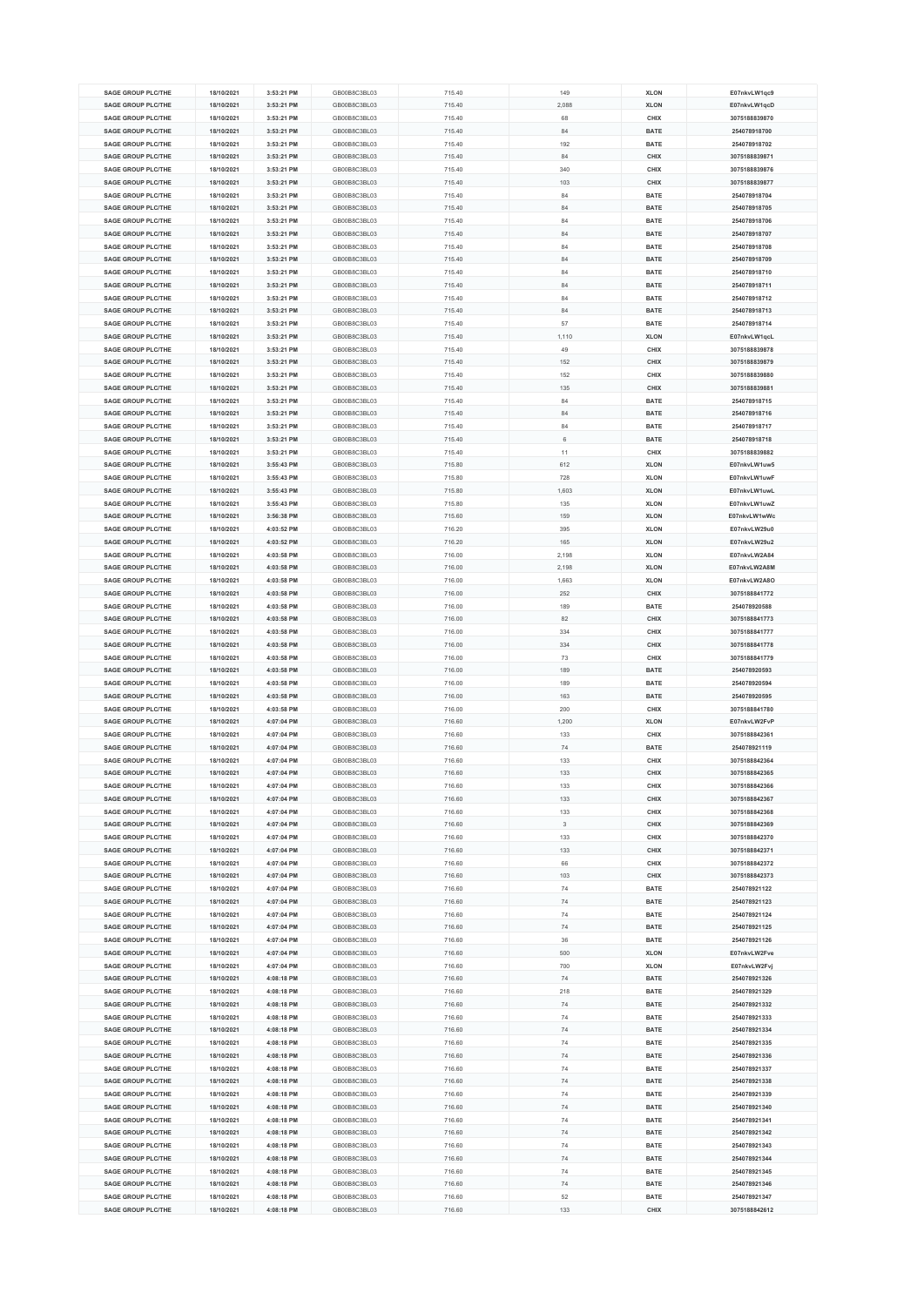| <b>SAGE GROUP PLC/THE</b>                              | 18/10/2021               | 3:53:21 PM               | GB00B8C3BL03                 | 715.40           | 149       | <b>XLON</b>         | E07nkvLW1qc9                  |
|--------------------------------------------------------|--------------------------|--------------------------|------------------------------|------------------|-----------|---------------------|-------------------------------|
| <b>SAGE GROUP PLC/THE</b>                              | 18/10/2021               | 3:53:21 PM               | GB00B8C3BL03                 | 715.40           | 2,088     | <b>XLON</b>         | E07nkvLW1qcD                  |
| <b>SAGE GROUP PLC/THE</b>                              | 18/10/2021               | 3:53:21 PM               | GB00B8C3BL03                 | 715.40           | 68        | CHIX                | 3075188839870                 |
| <b>SAGE GROUP PLC/THE</b>                              | 18/10/2021               | 3:53:21 PM               | GB00B8C3BL03                 |                  | 84        | <b>BATE</b>         | 254078918700                  |
|                                                        |                          |                          |                              | 715.40           |           |                     |                               |
| <b>SAGE GROUP PLC/THE</b>                              | 18/10/2021               | 3:53:21 PM               | GB00B8C3BL03                 | 715.40           | 192       | <b>BATE</b>         | 254078918702                  |
| <b>SAGE GROUP PLC/THE</b>                              | 18/10/2021               | 3:53:21 PM               | GB00B8C3BL03                 | 715.40           | 84        | CHIX                | 3075188839871                 |
| <b>SAGE GROUP PLC/THE</b>                              | 18/10/2021               | 3:53:21 PM               | GB00B8C3BL03                 | 715.40           | 340       | CHIX                | 3075188839876                 |
| <b>SAGE GROUP PLC/THE</b>                              | 18/10/2021               | 3:53:21 PM               | GB00B8C3BL03                 | 715.40           | 103       | CHIX                | 3075188839877                 |
| <b>SAGE GROUP PLC/THE</b>                              | 18/10/2021               | 3:53:21 PM               | GB00B8C3BL03                 | 715.40           | 84        | <b>BATE</b>         | 254078918704                  |
| <b>SAGE GROUP PLC/THE</b>                              | 18/10/2021               | 3:53:21 PM               | GB00B8C3BL03                 | 715.40           | 84        | <b>BATE</b>         | 254078918705                  |
| <b>SAGE GROUP PLC/THE</b>                              | 18/10/2021               | 3:53:21 PM               | GB00B8C3BL03                 | 715.40           | 84        | <b>BATE</b>         | 254078918706                  |
| <b>SAGE GROUP PLC/THE</b>                              | 18/10/2021               | 3:53:21 PM               | GB00B8C3BL03                 | 715.40           | 84        | <b>BATE</b>         | 254078918707                  |
| <b>SAGE GROUP PLC/THE</b>                              | 18/10/2021               | 3:53:21 PM               | GB00B8C3BL03                 | 715.40           | 84        | <b>BATE</b>         | 254078918708                  |
| <b>SAGE GROUP PLC/THE</b>                              | 18/10/2021               | 3:53:21 PM               | GB00B8C3BL03                 | 715.40           | 84        | <b>BATE</b>         | 254078918709                  |
|                                                        |                          |                          |                              |                  |           |                     |                               |
| <b>SAGE GROUP PLC/THE</b>                              | 18/10/2021               | 3:53:21 PM               | GB00B8C3BL03                 | 715.40           | 84        | <b>BATE</b>         | 254078918710                  |
| <b>SAGE GROUP PLC/THE</b>                              | 18/10/2021               | 3:53:21 PM               | GB00B8C3BL03                 | 715.40           | 84        | <b>BATE</b>         | 254078918711                  |
| <b>SAGE GROUP PLC/THE</b>                              | 18/10/2021               | 3:53:21 PM               | GB00B8C3BL03                 | 715.40           | 84        | <b>BATE</b>         | 254078918712                  |
| <b>SAGE GROUP PLC/THE</b>                              | 18/10/2021               | 3:53:21 PM               | GB00B8C3BL03                 | 715.40           | 84        | <b>BATE</b>         | 254078918713                  |
| <b>SAGE GROUP PLC/THE</b>                              | 18/10/2021               | 3:53:21 PM               | GB00B8C3BL03                 | 715.40           | 57        | <b>BATE</b>         | 254078918714                  |
| <b>SAGE GROUP PLC/THE</b>                              | 18/10/2021               | 3:53:21 PM               | GB00B8C3BL03                 | 715.40           | 1,110     | <b>XLON</b>         | E07nkvLW1qcL                  |
| <b>SAGE GROUP PLC/THE</b>                              | 18/10/2021               | 3:53:21 PM               | GB00B8C3BL03                 | 715.40           | 49        | CHIX                | 3075188839878                 |
| <b>SAGE GROUP PLC/THE</b>                              | 18/10/2021               | 3:53:21 PM               | GB00B8C3BL03                 | 715.40           | 152       | CHIX                | 3075188839879                 |
| <b>SAGE GROUP PLC/THE</b>                              | 18/10/2021               | 3:53:21 PM               | GB00B8C3BL03                 | 715.40           | 152       | CHIX                | 3075188839880                 |
| <b>SAGE GROUP PLC/THE</b>                              | 18/10/2021               | 3:53:21 PM               | GB00B8C3BL03                 | 715.40           | 135       | CHIX                | 3075188839881                 |
| <b>SAGE GROUP PLC/THE</b>                              | 18/10/2021               | 3:53:21 PM               | GB00B8C3BL03                 | 715.40           | 84        | <b>BATE</b>         | 254078918715                  |
|                                                        |                          |                          |                              |                  |           |                     |                               |
| SAGE GROUP PLC/THE                                     | 18/10/2021               | 3:53:21 PM               | GB00B8C3BL03                 | 715.40           | 84        | <b>BATE</b>         | 254078918716                  |
| <b>SAGE GROUP PLC/THE</b>                              | 18/10/2021               | 3:53:21 PM               | GB00B8C3BL03                 | 715.40           | 84        | <b>BATE</b>         | 254078918717                  |
| <b>SAGE GROUP PLC/THE</b>                              | 18/10/2021               | 3:53:21 PM               | GB00B8C3BL03                 | 715.40           | 6         | <b>BATE</b>         | 254078918718                  |
| <b>SAGE GROUP PLC/THE</b>                              | 18/10/2021               | 3:53:21 PM               | GB00B8C3BL03                 | 715.40           | 11        | CHIX                | 3075188839882                 |
| <b>SAGE GROUP PLC/THE</b>                              | 18/10/2021               | 3:55:43 PM               | GB00B8C3BL03                 | 715.80           | 612       | <b>XLON</b>         | E07nkvLW1uw5                  |
| <b>SAGE GROUP PLC/THE</b>                              | 18/10/2021               | 3:55:43 PM               | GB00B8C3BL03                 | 715.80           | 728       | <b>XLON</b>         | E07nkvLW1uwF                  |
| <b>SAGE GROUP PLC/THE</b>                              | 18/10/2021               | 3:55:43 PM               | GB00B8C3BL03                 | 715.80           | 1,603     | <b>XLON</b>         | E07nkvLW1uwL                  |
| <b>SAGE GROUP PLC/THE</b>                              | 18/10/2021               | 3:55:43 PM               | GB00B8C3BL03                 | 715.80           | 135       | <b>XLON</b>         | E07nkvLW1uwZ                  |
| <b>SAGE GROUP PLC/THE</b>                              | 18/10/2021               | 3:56:38 PM               | GB00B8C3BL03                 | 715.60           | 159       | <b>XLON</b>         | E07nkvLW1wWc                  |
| <b>SAGE GROUP PLC/THE</b>                              | 18/10/2021               | 4:03:52 PM               | GB00B8C3BL03                 | 716.20           | 395       |                     | E07nkvLW29u0                  |
|                                                        |                          |                          |                              |                  |           | <b>XLON</b>         |                               |
| <b>SAGE GROUP PLC/THE</b>                              | 18/10/2021               | 4:03:52 PM               | GB00B8C3BL03                 | 716.20           | 165       | <b>XLON</b>         | E07nkvLW29u2                  |
| <b>SAGE GROUP PLC/THE</b>                              | 18/10/2021               | 4:03:58 PM               | GB00B8C3BL03                 | 716.00           | 2,198     | <b>XLON</b>         | E07nkvLW2A84                  |
| <b>SAGE GROUP PLC/THE</b>                              | 18/10/2021               | 4:03:58 PM               | GB00B8C3BL03                 | 716.00           | 2,198     | <b>XLON</b>         | E07nkvLW2A8M                  |
| <b>SAGE GROUP PLC/THE</b>                              | 18/10/2021               | 4:03:58 PM               | GB00B8C3BL03                 | 716.00           | 1,663     | <b>XLON</b>         | E07nkvLW2A8O                  |
| <b>SAGE GROUP PLC/THE</b>                              | 18/10/2021               | 4:03:58 PM               | GB00B8C3BL03                 | 716.00           | 252       | CHIX                | 3075188841772                 |
| <b>SAGE GROUP PLC/THE</b>                              | 18/10/2021               | 4:03:58 PM               | GB00B8C3BL03                 | 716.00           | 189       | <b>BATE</b>         | 254078920588                  |
| <b>SAGE GROUP PLC/THE</b>                              | 18/10/2021               | 4:03:58 PM               | GB00B8C3BL03                 | 716.00           | 82        | CHIX                | 3075188841773                 |
| <b>SAGE GROUP PLC/THE</b>                              | 18/10/2021               | 4:03:58 PM               | GB00B8C3BL03                 | 716.00           | 334       | CHIX                | 3075188841777                 |
| <b>SAGE GROUP PLC/THE</b>                              | 18/10/2021               | 4:03:58 PM               | GB00B8C3BL03                 | 716.00           | 334       | CHIX                | 3075188841778                 |
| <b>SAGE GROUP PLC/THE</b>                              | 18/10/2021               | 4:03:58 PM               | GB00B8C3BL03                 | 716.00           | 73        | CHIX                | 3075188841779                 |
| <b>SAGE GROUP PLC/THE</b>                              | 18/10/2021               | 4:03:58 PM               | GB00B8C3BL03                 | 716.00           | 189       | <b>BATE</b>         | 254078920593                  |
| <b>SAGE GROUP PLC/THE</b>                              |                          |                          | GB00B8C3BL03                 |                  |           |                     |                               |
|                                                        | 18/10/2021               | 4:03:58 PM               |                              | 716.00           | 189       | <b>BATE</b>         | 254078920594                  |
| <b>SAGE GROUP PLC/THE</b>                              | 18/10/2021               | 4:03:58 PM               | GB00B8C3BL03                 | 716.00           | 163       | <b>BATE</b>         | 254078920595                  |
| SAGE GROUP PLC/THE                                     | 18/10/2021               | 4:03:58 PM               | GB00B8C3BL03                 | 716.00           | 200       | CHIX                | 3075188841780                 |
| <b>SAGE GROUP PLC/THE</b>                              | 18/10/2021               | 4:07:04 PM               | GB00B8C3BL03                 | 716.60           | 1,200     | <b>XLON</b>         | E07nkvLW2FvP                  |
| <b>SAGE GROUP PLC/THE</b>                              | 18/10/2021               | 4:07:04 PM               | GB00B8C3BL03                 | 716.60           | 133       | CHIX                | 3075188842361                 |
| <b>SAGE GROUP PLC/THE</b>                              | 18/10/2021               | 4:07:04 PM               | GB00B8C3BL03                 | 716.60           | 74        | <b>BATE</b>         | 254078921119                  |
| <b>SAGE GROUP PLC/THE</b>                              | 18/10/2021               | 4:07:04 PM               | GB00B8C3BL03                 | 716.60           | 133       | CHIX                | 3075188842364                 |
| <b>SAGE GROUP PLC/THE</b>                              | 18/10/2021               | 4:07:04 PM               | GB00B8C3BL03                 | 716.60           | 133       | CHIX                | 3075188842365                 |
| <b>SAGE GROUP PLC/THE</b>                              | 18/10/2021               | 4:07:04 PM               | GB00B8C3BL03                 | 716.60           | 133       | CHIX                | 3075188842366                 |
| <b>SAGE GROUP PLC/THE</b>                              | 18/10/2021               | 4:07:04 PM               | GB00B8C3BL03                 | 716.60           | 133       | CHIX                | 3075188842367                 |
| <b>SAGE GROUP PLC/THE</b>                              | 18/10/2021               | 4:07:04 PM               | GB00B8C3BL03                 | 716.60           | 133       | CHIX                | 3075188842368                 |
| SAGE GROUP PLC/THE                                     | 18/10/2021               | 4:07:04 PM               | GB00B8C3BL03                 | 716.60           | 3         | CHIX                | 3075188842369                 |
| <b>SAGE GROUP PLC/THE</b>                              | 18/10/2021               | 4:07:04 PM               | GB00B8C3BL03                 | 716.60           | 133       | CHIX                | 3075188842370                 |
| <b>SAGE GROUP PLC/THE</b>                              |                          |                          |                              |                  |           |                     | 3075188842371                 |
|                                                        | 18/10/2021               | 4:07:04 PM               | GB00B8C3BL03                 | 716.60           | 133       | CHIX                |                               |
| <b>SAGE GROUP PLC/THE</b>                              | 18/10/2021               | 4:07:04 PM               | GB00B8C3BL03                 | 716.60           | 66        | CHIX                | 3075188842372                 |
| <b>SAGE GROUP PLC/THE</b>                              | 18/10/2021               | 4:07:04 PM               | GB00B8C3BL03                 | 716.60           | 103       | CHIX                | 3075188842373                 |
| <b>SAGE GROUP PLC/THE</b>                              | 18/10/2021               | 4:07:04 PM               | GB00B8C3BL03                 | 716.60           | 74        | <b>BATE</b>         | 254078921122                  |
| <b>SAGE GROUP PLC/THE</b>                              | 18/10/2021               | 4:07:04 PM               | GB00B8C3BL03                 | 716.60           | 74        | BATE                | 254078921123                  |
| <b>SAGE GROUP PLC/THE</b>                              | 18/10/2021               | 4:07:04 PM               | GB00B8C3BL03                 | 716.60           | 74        | <b>BATE</b>         | 254078921124                  |
| <b>SAGE GROUP PLC/THE</b>                              | 18/10/2021               | 4:07:04 PM               | GB00B8C3BL03                 | 716.60           | 74        | BATE                | 254078921125                  |
| <b>SAGE GROUP PLC/THE</b>                              | 18/10/2021               | 4:07:04 PM               | GB00B8C3BL03                 | 716.60           | 36        | <b>BATE</b>         | 254078921126                  |
| <b>SAGE GROUP PLC/THE</b>                              | 18/10/2021               | 4:07:04 PM               | GB00B8C3BL03                 | 716.60           | 500       | <b>XLON</b>         | E07nkvLW2Fve                  |
| <b>SAGE GROUP PLC/THE</b>                              | 18/10/2021               | 4:07:04 PM               | GB00B8C3BL03                 | 716.60           | 700       | <b>XLON</b>         | E07nkvLW2Fvj                  |
| <b>SAGE GROUP PLC/THE</b>                              | 18/10/2021               | 4:08:18 PM               | GB00B8C3BL03                 | 716.60           | 74        | BATE                | 254078921326                  |
| <b>SAGE GROUP PLC/THE</b>                              | 18/10/2021               | 4:08:18 PM               | GB00B8C3BL03                 | 716.60           | 218       | <b>BATE</b>         | 254078921329                  |
| <b>SAGE GROUP PLC/THE</b>                              | 18/10/2021               | 4:08:18 PM               | GB00B8C3BL03                 | 716.60           | 74        | BATE                | 254078921332                  |
| <b>SAGE GROUP PLC/THE</b>                              | 18/10/2021               | 4:08:18 PM               | GB00B8C3BL03                 | 716.60           | 74        | <b>BATE</b>         | 254078921333                  |
|                                                        |                          |                          |                              |                  |           |                     |                               |
| <b>SAGE GROUP PLC/THE</b>                              | 18/10/2021               | 4:08:18 PM               | GB00B8C3BL03                 | 716.60           | 74        | BATE                | 254078921334                  |
| <b>SAGE GROUP PLC/THE</b>                              | 18/10/2021               | 4:08:18 PM               | GB00B8C3BL03                 | 716.60           | 74        | <b>BATE</b>         | 254078921335                  |
| <b>SAGE GROUP PLC/THE</b>                              | 18/10/2021               | 4:08:18 PM               | GB00B8C3BL03                 | 716.60           | 74        | <b>BATE</b>         | 254078921336                  |
| <b>SAGE GROUP PLC/THE</b>                              | 18/10/2021               | 4:08:18 PM               | GB00B8C3BL03                 | 716.60           | 74        | <b>BATE</b>         | 254078921337                  |
| <b>SAGE GROUP PLC/THE</b>                              | 18/10/2021               | 4:08:18 PM               | GB00B8C3BL03                 | 716.60           | 74        | <b>BATE</b>         | 254078921338                  |
| <b>SAGE GROUP PLC/THE</b>                              | 18/10/2021               | 4:08:18 PM               | GB00B8C3BL03                 | 716.60           | 74        | <b>BATE</b>         | 254078921339                  |
| <b>SAGE GROUP PLC/THE</b>                              | 18/10/2021               | 4:08:18 PM               | GB00B8C3BL03                 | 716.60           | 74        | <b>BATE</b>         | 254078921340                  |
| <b>SAGE GROUP PLC/THE</b>                              | 18/10/2021               | 4:08:18 PM               | GB00B8C3BL03                 | 716.60           | 74        | <b>BATE</b>         | 254078921341                  |
| <b>SAGE GROUP PLC/THE</b>                              |                          | 4:08:18 PM               | GB00B8C3BL03                 | 716.60           | 74        | <b>BATE</b>         | 254078921342                  |
|                                                        | 18/10/2021               |                          |                              |                  |           |                     |                               |
| <b>SAGE GROUP PLC/THE</b>                              |                          |                          | GB00B8C3BL03                 |                  | 74        |                     |                               |
|                                                        | 18/10/2021               | 4:08:18 PM               |                              | 716.60           |           | <b>BATE</b>         | 254078921343                  |
| <b>SAGE GROUP PLC/THE</b>                              | 18/10/2021               | 4:08:18 PM               | GB00B8C3BL03                 | 716.60           | 74        | <b>BATE</b>         | 254078921344                  |
| <b>SAGE GROUP PLC/THE</b>                              | 18/10/2021               | 4:08:18 PM               | GB00B8C3BL03                 | 716.60           | 74        | <b>BATE</b>         | 254078921345                  |
| <b>SAGE GROUP PLC/THE</b>                              | 18/10/2021               | 4:08:18 PM               | GB00B8C3BL03                 | 716.60           | 74        | <b>BATE</b>         | 254078921346                  |
| <b>SAGE GROUP PLC/THE</b><br><b>SAGE GROUP PLC/THE</b> | 18/10/2021<br>18/10/2021 | 4:08:18 PM<br>4:08:18 PM | GB00B8C3BL03<br>GB00B8C3BL03 | 716.60<br>716.60 | 52<br>133 | <b>BATE</b><br>CHIX | 254078921347<br>3075188842612 |